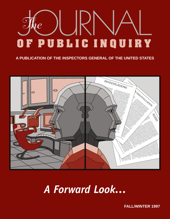# $\mathscr{C}$  the F PUBLIC INQUIRY  $\blacksquare$

**A PUBLICATION OF THE INSPECTORS GENERAL OF THE UNITED STATES**



*A Forward Look…*

**FALL/WINTER 1997**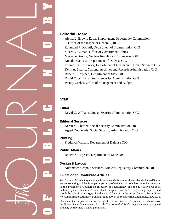

## **Editorial Board**

Aletha L. Brown, Equal Employment Opportunity Commission, Office of the Inspector General (OIG) Raymond J. DeCarli, Department of Transportation OIG Stuart C. Gilman, Office of Government Ethics Maryann Grodin, Nuclear Regulatory Commission OIG Donald Mancuso, Department of Defense OIG Thomas D. Roslewicz, Department of Health and Human Services OIG Kelly A. Sisario, National Archives and Records Administration OIG Robert S. Terjesen, Department of State OIG David C. Williams, Social Security Administration OIG Wendy Zenker, Office of Management and Budget

## **Staff**

## **Editor**

David C. Williams, Social Security Administration OIG

## **Editorial Services**

Karen M. Shaffer, Social Security Administration OIG Agapi Doulaveris, Social Security Administration OIG

## **Printing**

Frederick Watson, Department of Defense OIG

## **Public Affairs**

Robert S. Terjesen, Department of State OIG

## **Design & Layout**

Automated Graphic Services, Nuclear Regulatory Commission OIG

## **Invitation to Contribute Articles**

*The Journal of Public Inquiry* is a publication of the Inspectors General of the United States. We are soliciting articles from participating professionals and scholars on topics important to the President's Council on Integrity and Efficiency and the Executive Council on Integrity and Efficiency. Articles should be approximately 3–5 pages, single-spaced, and should be submitted to Agapi Doulaveris, Office of the Inspector General, Social Security Administration, Altmeyer Building, Suite 300, 6401 Security Blvd., Baltimore, MD 21235.

Please note that the journal reserves the right to edit submissions. The journal is a publication of the United States Government. As such, *The Journal of Public Inquiry* is not copyrighted and may be reprinted without permission.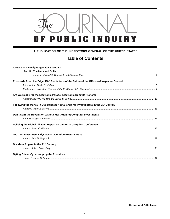

### **A PUBLICATION OF THE INSPECTORS GENERAL OF THE UNITED STATES**

## **Table of Contents**

| IG Gate - Investigating Major Scandals                                                           |  |
|--------------------------------------------------------------------------------------------------|--|
| Part II: The Nuts and Bolts                                                                      |  |
|                                                                                                  |  |
| Postcards From the Edge: IGs' Predictions of the Future of the Offices of Inspector General      |  |
|                                                                                                  |  |
|                                                                                                  |  |
| Are We Ready for the Electronic Parade: Electronic Benefits Transfer                             |  |
|                                                                                                  |  |
| Following the Money in Cyberspace: A Challenge for Investigators in the 21 <sup>st</sup> Century |  |
|                                                                                                  |  |
| Don't Start the Revolution without Me: Auditing Computer Investments                             |  |
|                                                                                                  |  |
| Policing the Global Village: Report on the Anti-Corruption Conference                            |  |
|                                                                                                  |  |
| 2001: An Investment Odyssey - Operation Restore Trust                                            |  |
|                                                                                                  |  |
| Buckless Rogers in the 21 <sup>st</sup> Century                                                  |  |
|                                                                                                  |  |
| <b>Byting Crime: Cybertrapping the Predators</b>                                                 |  |
|                                                                                                  |  |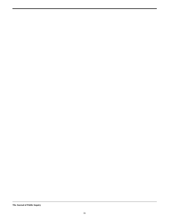**The Journal of Public Inquiry**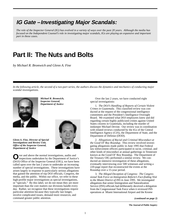## **IG Gate –Investigating Major Scandals:**

*The role of the Inspector General (IG) has evolved in a variety of ways over the past 20 years. Although the media has focused on the Independent Counsel's role in investigating major scandals, IGs are playing an expansive and important part in these cases.*

## **Part II: The Nuts and Bolts**

*by Michael R. Bromwich and Glenn A. Fine*

*In the following article, the second of a two-part series, the authors discuss the dynamics and mechanics of conducting major scandal investigations.*



*Michael R. Bromwich, Inspector General, Department of Justice*



*Glenn A. Fine, Director of Special Investigations and Review Unit, Office of the Inspector General, Department of Justice*

**O**ver and above the normal investigations, audits and inspections undertaken by the Department of Justice's (DOJ) Office of the Inspector General (OIG), we have been called upon over the last 2 years to undertake an increasing number of special investigations. These investigations have arisen largely in response to particularly serious allegations that gained the attention of top DOJ officials, Congress, the media, and the public. Within our office, we refer to these high-profile major investigations as special investigations, or "specials." By this label, we do not mean they are more important than the core matters our divisions handle every day. Rather, we recognize that these investigations require particular attention because they typically last longer, involve complicated issues, demand more resources, and command greater public attention.

Over the last 2 years, we have conducted eight special investigations:

1. *The DOJ's Handling of Reports of Certain Violent Crimes in Guatemala.* This classified review was conducted at the request of the congressional intelligence committees and the President's Intelligence Oversight Board. We examined what DOJ employees knew and did regarding certain highly publicized crimes against United States citizens in Guatemala, including the murder of innkeeper Michael Devine. Our review was in coordination with related reviews conducted by the IGs of the Central Intelligence Agency (CIA), the Department of State, and the Department of Defense (DOD).

2. *Allegations of Racial and Criminal Misconduct at the Good Ol' Boy Roundup.* This review involved investigating allegations made public in June 1995 that Federal law enforcement officers participated in racist, criminal, and other kinds of misconduct at annual gatherings in Tennessee known as the Good Ol' Boy Roundup. The Department of the Treasury OIG performed a similar review. We conducted an intensive investigation of these allegations, eventually interviewing over 500 witnesses and writing a 220-page report that reconstructed the events at the Roundup over a 15-year period.

3. *The Alleged Deception of Congress: The Congressional Task Force on Immigration Reform's Fact-finding Visit to the Miami District of INS in June 1995.* We investigated allegations that senior Immigration and Naturalization Service (INS) officials had deliberately deceived a delegation from the Congressional Task Force when it reviewed INS operations at Miami International Airport and the Krome

*(continued on page 2)*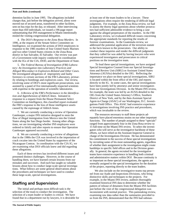#### *Nuts and Bolts (continued)*

detention facility in June 1995. The allegations included charges that, just before the delegation arrived, aliens were moved out of secured areas, transferred to other facilities, sent on bus trips for the day, or released. After interviewing more than 450 individuals, we issued a 196-page report substantiating that INS management in Miami intentionally misled the visiting congressional delegation.

4. *The DOJ's Response to the Zona Rosa Murders.* In 1996, at the request of the Senate Select Committee on Intelligence, we examined the actions of DOJ employees in response to the 1985 murders of four United States Marines and two other United States citizens in the Zona Rosa district in San Salvador, El Salvador. Our review was part of a Government-wide inquiry conducted in coordination with the IGs of the CIA, DOD, and the Department of State.

5. *The Federal Bureau of Investigation (FBI) Laboratory: An Investigation into Laboratory Practices and Alleged Misconduct in Explosives-Related and Other Cases.* We investigated allegations of impropriety and faulty forensics in certain sections of the FBI Laboratory, primarily relating to bombings and explosives cases. Our review, involving some of DOJ's most significant prosecutions, was assisted by a panel of five internationally respected scientists with expertise in the operation of scientific laboratories.

6. *A Review of the FBI's Performance in the Identification and Apprehension of Aldrich Ames*. Initiated in response to a request from the House Permanent Select Committee on Intelligence, this classified report evaluated the FBI's response to the loss of those intelligence assets caused by the espionage of Aldrich Ames.

7. We are currently conducting a review of Operation Gatekeeper, a major INS initiative designed to stem the flow of illegal immigration from Mexico into the United States along the San Diego border. Among other allegations, we are investigating whether INS employees were ordered to falsify and alter reports to ensure that Operation Gatekeeper appeared successful.

8. We are currently conducting a review of allegations that in the 1980s the CIA was involved in the importation of crack cocaine into the United States by supporters of the Nicaraguan Contras. In coordination with the CIA IG, we are examining what DOJ officials knew and did regarding these allegations.

Each of these reviews has involved different issues and presented distinct challenges. However, in the course of handling them, we have learned certain lessons from our mistakes and successes. And each has taught us valuable lessons about how to conduct large-scale special investigations. What follows are some general observations about the procedures and techniques we have used to conduct these large-scale, special investigations.

## **Staffing and Supervision**

The initial and perhaps most difficult task is the selection of the team to conduct the investigation. The selection of a team leader or leaders is critical. We have found that in a department run by lawyers, it is desirable for at least one of the team leaders to be a lawyer. These investigations often require the rendering of difficult legal judgments. For example, in the Zona Rosa review, we had to assess the thorny legal questions about whether prosecutors had sufficient admissible evidence to bring a case against the alleged perpetrators of the murders. In the FBI Laboratory review, we evaluated difficult issues concerning the appropriate standards for reporting the results of forensic examinations. In the Guatemala review, we addressed the potential application of the terrorism statute to the facts known to the prosecutors. Our ability to conduct these inquiries and render the difficult judgments that they called for was aided by having lawyers who were experienced investigators and prosecutors in critical positions on the investigative team.

 To lead these special investigations, we have assigned Special Investigative Counsel from our Special Investigations and Review Unit (SIRU) or Assistant United States Attorneys (AUSAs) detailed to the OIG. Reflecting the importance we place on these special investigations, SIRU is located within the front office of the OIG and reports directly to the IG. In some cases, the special investigations have been jointly led by attorneys and senior investigators from our Investigations Division. In the Miami INS review, for example, the team was led by an AUSA detailed to the OIG from the United States Attorney's Office, Southern District of New York, and by the then-Assistant Special Agent-in-Charge (ASAC) of our Washington, D.C. Investigations Field Office. This ASAC had extensive experience in investigations involving INS practice and procedures, which was invaluable to the review.

The resources necessary to staff these projects adequately have placed enormous strains on our other important functions. The number of people assigned to these "specials" ranged from approximately four in the Zona Rosa review to 15 full-time on the Miami INS review. To select the investigators who will serve as the investigative backbone of these efforts, we have relied on the Assistant Inspector General in charge of the Investigations Division. He has demonstrated his commitment to the success of these special investigations by recruiting some of his most outstanding agents, regardless of whether their assignment to the investigation might create hardships in specific field offices and in the Division generally. In general, the agents recruited for the investigative teams have extensive experience in handling both criminal and administrative matters within DOJ. Because continuity is so important on these special investigations, the agents are normally assigned to the special investigation for the duration of the project, reporting directly to the team leaders.

We also include on the investigative teams top personnel from our Audit and Inspections Divisions, who bring distinctive skills and techniques to the projects. For example, in the Miami INS review, auditors thoroughly examined historical INS data to determine whether the pattern of release of detainees from the Miami INS facilities just before the visit of the congressional delegation was inconsistent with normal practice. This painstaking review, examining raw data rather than the summaries provided to us from the INS, demonstrated that the INS had substan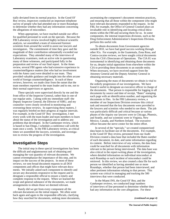tially deviated from its normal practice. In the Good Ol' Boy review, inspectors conducted an important telephone survey of people who had attended one or more Roundups to determine whether they had any information concerning the allegations of misconduct.

When appropriate, we have reached outside our office for qualified personnel to work on the specials. Because the FBI Laboratory review involved highly technical scientific analysis, we assembled a team of renowned forensic scientists from around the world to assist our lawyers and investigators. The commitment of time they gave and the magnitude of their contribution substantially exceeded our expectations. They attended many of the interviews of Laboratory examiners, took an active role in questioning many of these witnesses, and participated fully in the preparation and review of our final report. In the Ames review, several FBI agents who had extensive experience in counterintelligence matters (but who had no involvement with the Ames case) were detailed to our team. They provided valuable guidance and insight into the often arcane world of foreign counterintelligence. In each of these reviews, however, we made clear from the outset that the team members reported to the team leader and to me, not to their normal supervisors or agencies.

These specials were supervised directly by me and the front office of the Inspector General, rather than in one of our regular units. I along with my immediate staff--the Deputy Inspector General, the Director of SIRU, and my counselor--were closely involved in monitoring and overseeing these reviews. In supervising these matters, I was regularly briefed on their progress at regular intervals. For example, in the Good Ol' Boy investigation, I met every week with the team leader and team members to learn about the status of the investigation and to address any problems that developed. In the Gatekeeper review, which is based in San Diego, I schedule a conference call with the team once a week. In the FBI Laboratory review, at critical times we assembled the lawyers, scientists, and investigators to review the progress of the investigation.

### **Investigative Steps**

The initial step in these special investigations has been the difficult and unglamourous task of obtaining and managing the vast quantity of relevant documents. We cannot overemphasize the importance of this step, and its impact on the success of the projects. In most of these reviews, we sent broad document requests to all DOJ components and offices that might have relevant documents. We initially asked each component to identify and secure any documents responsive to the request and to designate a responsible official to ensure a timely and complete response to the request. When we learned the scope and general substance of the documents, we made arrangements to obtain those we deemed relevant.

Rarely did we get from every component all the relevant documents on the initial request. We often went back again and again to the responsible officials, clarifying how they searched for documents, seeking more documents, ascertaining the component's document retention practices, and ensuring that all those within the component who might have relevant documents responded to the request. In the FBI, for example, the Office of General Counsel plays an invaluable role in identifying and locating critical documents within the FBI and securing them for us. In some components, the internal inspections divisions, such as the Drug Enforcement Administration's Inspections Division, perform this useful role.

To obtain documents from Government agencies outside DOJ, we have had good success working through other IGs. For example, in the Guatemala, Zona Rosa, and Contra-cocaine reviews, we have sought critical documents from the CIA's Directorate of Operations. The CIA IG was instrumental in identifying and obtaining those documents for us, despite initial opposition from elsewhere within the CIA to providing these documents to an outside entity. When necessary, we have received support from the Attorney General and the Deputy Attorney General in obtaining necessary materials.

Organizing the mass of documents we obtain is vital to the orderly progression of our investigations. We have found it useful to designate an executive officer in charge of the documents. That person is responsible for logging in all documents by source and date of receipt, "Bates" stamping each page with an identification number, and organizing the documents in files. In the FBI Laboratory review, a member of our Inspections Division oversaw this critical task and ensured that the key documents were provided to the lawyers and scientists who needed to see them. The job was particularly difficult and critical because at various phases of the inquiry our lawyers were in Chicago, Phoenix, and Seattle, and our scientists were in Virginia, New Mexico, Canada, and Northern Ireland. The executive officer became the nerve center for the entire effort.

In several of the "specials," we created computerized data bases to facilitate use of the documents. For example, in the Good Ol' Boy review, personnel from our Audit Division created a data base that included the Bates number of each document, its date, and some information regarding its content. Before interviews of any witness, the data base could be searched for all documents with information relevant to the person being interviewed. The data base was also critical in the report-writing phase of the investigation, where detailed information on individual misconduct at each Roundup or each incident of misconduct could be retrieved. In this review, we also created a data file for each person we identified as having attended one or more Roundups, whether that person had been interviewed, and other pertinent information relating to that person. This system was critical in managing and tracking the 500 interviews that were conducted.

In the Miami INS, the Good Ol' Boy, and the Gatekeeper reviews, we conducted large numbers of interviews of line personnel to determine whether they had any information on the core allegations. For these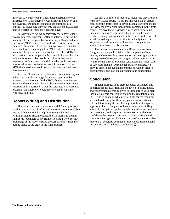#### *Nuts and Bolts (continued)*

interviews, we developed standardized questions for our investigators. Each interview was different, however, and the investigators used the standardized questions as a checklist to make sure they covered the basic topics, rather than as a script to which they became slaves.

In every interview, we consistently try to have at least two team members present. After an interview, one of the team members is responsible for drafting a Memorandum of Interview (MOI), which the team leader reviews before it is finalized. In several of the specials, we created computerized data bases containing all the MOIs. As a result, any team member could search the contents of other MOIs for information. For example, the MOIs could be searched for references to particular people or incidents that were relevant to an interview. In addition, when an investigator was traveling and needed to access information from an MOI, the investigator could search the computerized data base remotely.

For a small number of interviews of key witnesses, we either tape record or arrange for a court reporter to be present at the interview. In the FBI Laboratory review, for example, the interviews of key Laboratory examiners were recorded and transcribed so that the scientists who were not present at the interviews could review exactly what the witnesses had said.

### **Report Writing and Distribution**

There is no magic to the tedious and difficult process of synthesizing masses of information into a coherent, readable report. We have found it helpful to review the reportwriting in stages, first in outline, then in draft, and then in final form. Members of my front office and I try to review each stage of the report-writing process carefully, from the outline phase to the draft to the final product.

We strive in all of our reports to make sure they are free from any factual errors. To ensure this, we have in certain cases sent the draft report to key individuals or components to review for any factual inaccuracies contained in the draft report. We give these reviewers a very short turnaround time and discourage arguments about the conclusions reached or judgments rendered in the report. Rather, we ask whether anything we have written is factually incorrect. Very few factual inaccuracies have been brought to our attention as a result of this process.

The reports have generated significant interest from Congress and the public. Prior to the completion of our reports, we have sought to keep authorized oversight committees apprised of the status and progress of our investigations, while steering clear of providing conclusions that might still be subject to change. Once the reports are complete, we provide them to the oversight committees, with an offer to brief members and staff on our findings and conclusions.

## **Conclusion**

Special investigations present special challenges and opportunities for IGs. Because the level of public, media, and congressional scrutiny given to these efforts is so high, they play a significant role in shaping the reputation of an OIG. And in an era in which we all fight for the resources we need to do our jobs, they may play a disproportionate role in determining the level of appropriations Congress approves. The techniques we have developed in staffing special investigations, gathering relevant evidence, conducting interviews, and preparing our reports have given us confidence that we can meet even the most difficult and complex investigative challenges and produce authoritative reports that generally command respect even from demanding congressional and media audiences.❏

#### **The Journal of Public Inquiry**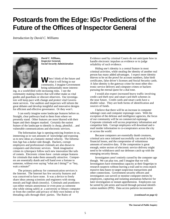## **Postcards from the Edge: IGs' Predictions of the Future of the Offices of Inspector General**

*Introduction by David C. Williams*



*David C. Williams, Inspector General, Social Security Administration*

hen I think of the future and what it will bring to our community, I imagine Government being substantially more interest-

ing, in a world!illed with increasing risks. I see the community making choices that will either make us vital guides and guardians or obscure observers. Our investigators will keep pace with change and protect vital Government services. Our auditors and inspectors will inform the great debates and develop insightful and innovative designs for efficient and effective governance. Or they won't.

I can easily imagine some landscape features before us. Straight, clear pathways lead to them from where we presently stand. Other features are more blurred with their hopes and their dangers masked. Certainly the easiest feature of the landscape to identify is cheap, plentiful. . .and vulnerable communications and electronic services.

The Information Age is opening enticing frontiers to us, immersing us in vast amounts of knowledge and exposing us to new ideas at a fantastic mental velocity. The Information Age has a darker side though. Hackers, corrupt employees and professional criminals are also drawn to computers and electronic services. Sleek imaginative crimes in cyberspace follow each new innovation like tails of comets. Electronic crimes have certain unique features for criminals that make them unusually attractive. Computers are essentially dumb and will hand over a fortune to someone, without ever saying "what am I doing?" or "hey, wait a minute!"

The primary pathway for communication services is the Internet. The Internet has few security features and was conceived to have none. It was a device to freely share ideas among scientists and engineers with strong morals and high ideals (mostly). Criminals and pranksters can either remain anonymous or even pose as someone else while sitting safely at a university or library computer or from the comfort and privacy of their own homes or by threading calls through third parties. The Rules of

Evidence used by criminal Courts do not anticipate how to handle electronic impulses as evidence or to judge reliability of such evidence.

Hiding one's identity is a central feature in most criminal activities, while stealing the identity of another real person has many added advantages. I expect more identity thieves to be on the prowl for account numbers, false birth certificates, false driver's licenses and Social Security cards. A false identity is the gateway crime for most other electronic service delivery and computer crimes or hackers pursuing the eternal quest for a dial tone.

I would also expect increased heavy traffic involving credit card theft now and smart card theft schemes in the near future. Credit cards and smart cards have a double value. They are both forms of identification and sources of funds.

I believe that there will be an increase in computer sabotage cases and computer espionage cases. With the exception of the defense and intelligence agencies, the focus of our community will be on commercial espionage. Corporate criminals will access proprietary information and competitor bids. Corrupt employees will download and email insider information to co-conspirators across the city or across the world.

Because computers are essentially dumb creatures, criminal acts once initiated successfully can result in huge financial losses, and the compromise of voluminous amounts of sensitive data. If the compromise is great enough, entire sectors of electronic service delivery might need to be withdrawn until our defenses catch up with the emerging security threats.

Investigators aren't entirely cursed by the computer age though. We can play too, and I imagine that we will. Investigators have tremendous capacity at their fingertips to research suspects without leaving a trail and to cross-match massive data bases to target suspicious transactions and other connections. Government security officers and investigators can surveil or monitor computer entries by employees, capturing and isolating anomalous behavior for later investigation or instant apprehension. Employees can be sorted by job series and traced through personal identification numbers (PIN). Data access patterns inconsistent

*(continued on page 6)*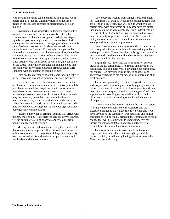#### *Postcards (continued)*

with certain job series can be identified and traced. Computers can also identify unusual volumes of queries or trends in the lopsided exercise of discretionary decision making.

Investigators have wonderful undercover opportunities as well. The same secrecy and anonymity that cloaks criminals can cloak undercover police. Whole investigator squads can pose as a single undercover operative or lurk among members of electronic crime gangs as they communicate. I believe there are terrific electronic surveillance capabilities on the Internet. Photographic images can be captured and transmitted over the Internet or through wireless communication to the locations of your choice. The same is true for communication intercepts. You can conduct surveillance activities with your laptop at your desk, in your auto or on the street. Pen registers installed on a single phone line can rapidly identify whole electronic criminal gangs corresponding with one another to commit crimes.

I also see the emergence of audit teams focusing entirely on defensive and pro-active computer security measures.

For better or worse, as Americans become dependent on electronic communication and service delivery, it will be possible to demand that suspects come to our offices for interviews rather than experience disruption to these increasingly essential services. Like each of us, criminals may become very dependent on communication and electronic services, and may routinely surrender for arrest rather than cope in a world cut off from vital services. This may be a welcome development as violence against police becomes more commonplace.

I expect other types of criminal activity will arrive with the new millennium. As retirement ages are driven upward, we can anticipate a sea of phony disability claims from people simply tired of working.

Moving beyond auditors and investigators, I anticipate that our semiannual reports will be discontinued in favor of online comprehensive IG reports with hypertext capability to access actual audits and perhaps our performance and results data and budget requests.

As we become weaned from bigger is better mentalities, Congress will trust us with simple capital budgets that are silent on FTE levels. IGs will decide whether to do certain tasks with contractors or purchase services rather than maintain the service capability using Federal employees. Most of our big initiatives will be financed as investments in which we promise reductions in Government outlays in return for relatively small investments in our savings and fraud reduction proposals.

I see IGnet moving much more adeptly into specialized chat groups that focus on audit and investigative problems and opportunities. These "members only" groups can tackle important tasks in the manner that Government scientists first envisioned for the Internet.

Big finish! As I look into the next century I see two views of the IG community. The first is one in which we continually position ourselves to advantage the community for change. We play key roles in emerging issues and aggressively step up to bat for new roles as guardians of an electronic age.

The second possibility is that we barricade ourselves in and suspiciously monitor agencies as they grapple with the future. For many of us addicted to formula audits and stale investigative techniques, "monitoring the agency" will be a euphemism for standing on the sidelines as horrified observers to a rapidly changing scene for which we are ill prepared.

I am confident that we can trade on the trust and good will that we have established with Congress and the Executive Branch to play a key role if we wish and if we have developed the capability. Our neutrality and honest competence will be highly prized in the coming age of rapid change that will be so difficult to understand. We can inform the important debates and strike effectively at criminal threats to vital Government services.

This was a fun article to write and I invited other Inspectors General to share their own glimpses of the future. I think you will enjoy having a look at these other "Postcards from the Edge."❏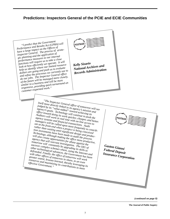## **Predictions: Inspectors General of the PCIE and ECIE Communities**



*(continued on page 8)*

**The Journal of Public Inquiry**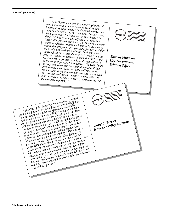*"The Government Printing Office' s (GPO) OIG sees a greater joint involvement of auditors and investigators on projects. The downsizing of Government that has occurred in recent years has increased the opportunities for fraud, waste, and abuse. The* POSTAGE *GPO OIG has redirected staff resources toward a financially-oriented approach. The Government must maintain effective control mechanisms in agencies to ensure that programs are operated effectively and that the results expected are achieved. Audit and investigative efforts must align themselves to ensure that the program results are attained. Legislation such as the Thomas Muldoon Government Performance and Results Act will serve U.S. Government as the catalyst for OIG future efforts. The OIG should be prepared to monitor the reliability of established Printing Office performance measurements. OIG staff must work more cooperatively with management and be prepared to issue both positive and negative repartions issue both positive and negative repartions of controls, when review systems of controls, when reviewed, ought to bring with them positive reporting." "The OIG of the Tennessee Valley Authority would predict the future of the IG to function with little, if any,*<br>*predict the future of the IG to function with little, if any,* OSTAG *preater the junite vj the 10 to junction with three, y a*<br>preater the juntie vj the 10 to junction with the<br>paper; everything will be transferred leaders with the *Auditors and investigators will take laptops with them*<br>*Auditors and investigators will take laptops with them*<br>*Auditors and investigators with the state in the first into the field and write reports while in the field. They*<br>*requives and priveshightereports while in the field. They*<br>into the field and write reports in the state of the field. *will transmit them electronically back to the office.*<br>*will transmit them electronically back to the office. Because of automation, OIG auditors and investigators*<br>Because of automation, OIG auditors and investigators<br>and investigators function of the contraction of the state of the state of the state of the state of the state o *we different to do*<br>*will largely function autonomously as IGs learn to do*<br>will largely function autonomously in the contract of *George T. Prosser Tennessee Valley Authority more with less.* Because of dwindling resources, IGs with the dynamics and a line in the dynamics of  $\frac{1}{2}$  and  $\frac{1}{2}$  and  $\frac{1}{2}$  and  $\frac{1}{2}$  and  $\frac{1}{2}$  and  $\frac{1}{2}$  and  $\frac{1}{2}$  and  $\frac{1}{2}$  and  $\frac{1}{2}$ *wore with tess. pecuase of awmanning resources, 10s wore with tess. pecuase of awmand big impact cases.*<br>*will focus more on big dollar and big impact cases.* While maintaining their independence, IGs will work<br>While maintaining their independence, it is a series of the maintaining their independence, it is a series of the *more* closely with management in identifying areas<br>*more* closely with management in identifying areas *where OIG efforts should be concentrated.* As the where OIG efforts should be concentrated. where  $UU$  elluris should be concentrated. As the strategy of the strategy of the contracting out more functions, IGs *will concentrate more resources on contract reviews.*<br> *will concentrate more resources on contract reviews.*<br> *will concentrate more resources on contract reviews. OIGs, as a general matter, will have full law enforce-*<br> *OIGs, as a general matter, will have full law enforcement authority. Philadely will nave july law enjoined* on  $\sigma$  is a sense of  $\sigma$  on  $\sigma$  and annual report on ment authority. OIGs will provide an annual report on *their activities, rather than the Semiannual report now*<br>their activities, rather than the Semiannual report now *rect activities, called theme we belighted. Perfect themest reports will be available on-*<br>*required. However, audit reports will be available online at time of issue."*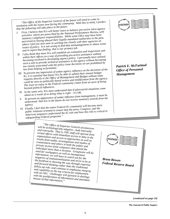*"The Office of the Inspector General of the future will need to come to resolution with the issues now facing the community. With this in mind, I predict that the following will take place in the future:*

- *I. First, I believe that IGs will better learn to balance pro-active intra-agency activities, which are prescribed by the National Performance Review, with statutory compliance responsibilities. While some OIGs may have been perceived as having abused their legally mandated authorities in the past, others I feel are now near to working too closely with their agencies on issues of policy. It is not wrong to find that mismanagement or abuse exists and to report that finding; that is our primary job.*
- *II. I also think that more IGs will establish an evaluation and inspections unit within their offices as a way of providing pro-active assistance without becoming involved in developing agency policy. I personally have utilized such a unit to provide technical assistance to the agency without becoming too closely associated with the policy issue decisions we are prohibited by law from helping to formulate.*

- *III. To prevent any impression of undue agency influence on the decisions of the IG, it is essential that future IGs be able to submit their annual budget requests directly to the Office of Management and Budget without what could be seen as politically based review and modification from the agency. The trust we enjoy in the Federal community comes from an aura of being beyond political influences.*
- *IV. In the same vein, IGs must understand that if adversarial situations come about as a result of us doing what is right – it's OK.*
- *V. To prevent an appearance of undue influence from management, it must be understood that IGs in the future do not receive monetary awards from the*
- *agency. VI. Finally, I feel that the entire Federal IG community will become more public relations oriented to ensure that the press, Congress, and the American taxpayers understand the IG role and how this role is critical to safeguarding Federal programs."*

POSTAGE

*Patrick E. McFarland Office of Personne<sup>l</sup> Managemen<sup>t</sup>*

*"The Office of Inspector General of tomorrow will be technologically adaptive - both internally and externally. That is, OIG staff will operate from virtual offices with immediate access to data in the organization and access to approaches as well as results from audits, investigations and studies of counterparts and others in both the public and private sectors from computers that attend the individual more than a location. Groupware will be used for workpapers as well as management information; we will have to watch out for the negatives of institutionalization and strive to be at the forefront in showing the way through expertise and forward thinking rather than the traditional follow-up role; and continue to emphasize integrity and capability as the top criteria for employment with an OIG. Challenges will (present in dealing) with the proliferation of information and attendant misuse of that information."*



*(continued on page 10)*

**The Journal of Public Inquiry**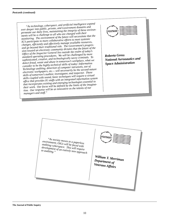*"As technology, cyberspace, and artificial intelligence expan<sup>d</sup> ever deeper into public, private, and Government domains an<sup>d</sup> permeate our daily lives, maintaining the integrity of these environments will be a challenge to all who are charged with their monitoring. The environment of the future will necessitate that the IG's participate in more collaborative efforts to meet systemic changes, efficiently and effectively manage available resources, and go beyond their traditional role. The Government's progression toward an electronic community dictates that the future of the Office of the Inspector General lies outside the realm of today's standard operating procedures. We will be challenged by more sophisticated, creative, and technologically savvy criminals. To detect fraud, waste and abuse in tomorrow's workplace, what we consider to be the highly-technical skills of today--Information Technology auditing, detection of computer intrusions, use of electronic workpapers, etc.-- will necessarily be the second-nature skills of tomorrow's auditor, investigator, and inspector. These skills coupled with sound, basic techniques will require a virtual office that provides IG staffs with an integrated information system that incorporates existing and emerging technologies essential to their work. Our focus will be defined by the limits of the imagination. Our response will be as innovative as the talents of our managers and staff."*



*Roberta Gross National Aeronautics an<sup>d</sup> Space Administration*



**The Journal of Public Inquiry**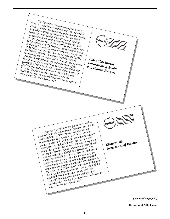*"The Inspector General concept has proven itself as essential for containing fraud, waste and abuse. Prior to the original legislation, there were only 10 investigators nationwide for the entire*<br>and *investigators nationwide for the entire*<br>in the entire *Department of Health, Education, and Welfare, which comprised what is now the Department of Health and Human Services (HHS), the Department* FOSTAGE *of Education, and the Social Security Administration*<br>
In the last 3 years He Social Security Administration.<br> *of \$8 billion in sayings, 650 eproduced ministration.*<br> *exclusions per year.* Secretary Shalala and verage<br> *In the last 3 years HHS alone produced an average*<br>
<sup>coor</sup> in 3 years HHS alone produced an average<br>
contract an average *of \$8 billion in savings, 650 convictions and 1,600*<br>*of \$8 billion in savings, 650 convictions and 1,600 exclusions per year. Secretary Shalala has been a staunch speryear.* S., 050 convictions and has fought for of the Office of Inspector General<br>
Health Insurance Peassage and a has been a<br>
HIPAA), which vor passage and enactment or General<br> *All Sought will provided and A Health Insurance Portability and Accountability Act*<br> *Health Insurance Portability and Accountability Act*<br> *Even at this point our staff over the next 7 source of*<br> *HIPAA)* we can see substantial first year under<br> *Mer June Gibbs Brown (HIPAA), which will provide a dependable source of Department of Health funding to double our staff over the next 7 years. and Human Services Even at this point in time (the first year under HIPAA) we can see substantial over the next 7 years.*<br> *ment due to the new legislation,* "*<i>we can see substantial positive accomplish-"Inspectors General of the future will need to* POSTAGE *inspection* denotive role to focus on prevention<br>increase their pro-active role to focus on prevention *and compliance. Government downsizing and and compliance. Government downsizing and reinvention make it essential that OIGs work in*<br>reinvention make it essential that OIGs work in returnership with departmental and agency<br>greater partnership with departmental and agency greater participation in process action and managers. Participation in process action and *manugers*. *Furnerpation in process action and as*<br>*integrated product teams will continue to expand as Eleanor Hill* we graved product reams were commune to expand as<br>we graved product reative means to accomplish our *Department of Defense* we explore the face of declining resources. The<br>mission in the face of declining resources. *challenge to the IGs will be to develop and sustain*<br>*challenge to the IGs will be to develop and sustain program managers' trust while maintaining an*, program managers' trust while maintaining an *arms-length relationship when performing tradi-*<br>*arms-length relationship when performing traditional roles of program audits and investigations.*<br>*tional roles of program audits and investigations. Moreover, how IGs perform their roles is changing*<br>*Moreover, how IGs perform their roles is changing due to technological advances.* As a result of the due to technological advances. As a result of the availability of on-line data bases and video availability of on-line data *teleconferencing, most on-site visits for non-*<br>teleconferencing, most on-site visits for non*ielecongerencing*, most on-site visits for non-<br>*ielecongerencing*, most on-site visits will no longer be<br>*investigative* oversight purposes will no longer *cost-effective nor necessary."*

*<sup>(</sup>continued on page 12)*

**The Journal of Public Inquiry**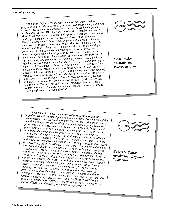#### *Postcards (continued)*

*"The future Office of the Inspector General can expect Federal programs that are administered in a decentralized environment, with fewer controls, less guidance and documentation, and reduced management levels and resources. Directives will be severely reduced or eliminated. Multiple supervisory levels, which in the past were thought to help ensure quality performance and prevent loss and abuse, will be eliminated. Fewer transactions will be recorded on paper (which has provided the audit trail in the past) as electronic transactions become the norm. The role of auditing will change as we move toward verifying the validity of measurements and outcomes and performing return-on-investment analyses to judge the value of operations. With fewer controls, more electronic exchanges, and increased pressure to show measurable results, the opportunity and motivation for fraud may increase—while evidence may become more hidden or unobtainable. If delegation of authority from the Federal Government to State and local counterparts continues, both accountability for resources and responsibility for results may become diffused. IG reports must be short, direct and clearly demonstrate pay-off value to management. As OIGs are also downsized auditors and investigators must work together more closely to leverage remaining resources, and there will need to be a greater homogenization of skills within an<sup>d</sup> among OIGs. The need for audits and investigations has never been greater than in this changing environment, and OIGs must be willing to respond with creativeness and flexibility."*



*Nikki Tinsley Environmental Protection Agency*

*"Leadership in the IG community will pass to those organizations staffed by dynamic agents of positive and meaningful change, with a viable commitment to our core mission of detecting and preventing fraud, waste, and abuse and promoting the effectiveness and efficiency of Government programs. Our change agents will be recognized for solid knowledge of public administration and management, in general, and in-depth understanding of their own agencies' programs and complex internal and external operating environments. The staff of the premier OIGs will also* demonstrate exceptional skills in interpersonal communications, analysis<br>and evaluation, and advanced technologies. Through direct of analysis<br>or contracting, the Odvanced technologies. Through direct at analysis *or contracting, the OIGs will have access to expertise in technical fields of* and evaluation, and advanced technologies. Through direct staff resources *particular significance in their agencies, such as medicine, aerospace, or construction. A renewed focus on the core legislated mission of the IGs will be accomplished be transferring resource-intensive peripheral responsibilities, such as the auditing of financial statements to the Chief Financial Officer and reviewing these activities in line with other priorities. Without compromising independence, our future change agents will perform a greater number of projects in a customer-focused, interactive mode, flexibility drawing upon the pertinent methodologies of a variety of professional fields and working in multidisciplinary teams of auditors, investigators, evaluators, technical specialists, and program officials. The foremost standard of professionalism will be the USEFULNESS of our products as catalysts for significant and meaningful improvements to the quality, efficiency, and integrity of Government programs."*

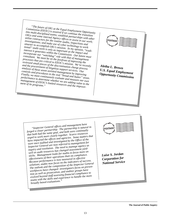*"The future of OIG at the Equal Employment Opportunity Commission (EEOC) is assured if we continue the transition into multi-disciplined teams; establish partnerships with other OIGs and some internal Agency offices to assist in our work; utilize contractors for the routine audits, inspections and investigations; and make use of cyber technology to work smarter to accomplish OIG's mission. In my opinion, "traditional" audit work is only as important as the impact and interest it generates within the Commission. Our future must incorporate our "watchdog" role with that of management consultant. We must be on the forefront of improving the processes that are critical to EEOC's mission. We've recently reviewed small pieces of the discrimination charge process and the procurement of litigation support services. Our analysis of these areas assisted management by improving controls and procedures in the real "bread and butter" areas. Finally, we must continuously evaluate and measure our own*<br>*Performance to determine whether we are adding value to the management of EEOC's limited resources and the improveperformance to determine whether we are adding value to the management of EEOC's limited resources and the improve-ment of its programs."*



*Aletha L. Brown U.S. Equal Employment Opportunity Commission*

*"Inspector General offices and management have forged a closer partnership. The partnership is natural in that both had the same goal, and both were continually urged to work more closely together. Scarce resources have impacted the offices and agencies. Some matters that were once audited and investigated by the Office of the Inspector General are now referred to management for inquiry and resolution. The need to manage agency as well as audit resources has changed assessment yardsticks. Management looks for audits to focus more on effectiveness of their operations than on compliance. Because performance is now measured in effective solutions, audits now focus on the indicators of success. The outlook and the composition of the Inspector Genera<sup>l</sup> workforces have changed: investigators focus on prevention as well as prosecution, and auditor groups have evolved beyond staff assessing financial compliance to teams with the skills and experience to handle the more broadly based evaluations."*

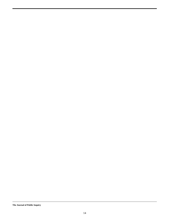**The Journal of Public Inquiry**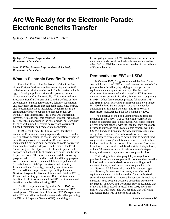## **Are We Ready for the Electronic Parade: Electronic Benefits Transfer**

*by Roger C. Viadero and James R. Ebbitt*

*By Roger C. Viadero, Inspector General, Department of Agriculture*

*James R. Ebbitt, Assistant Inspector General for Audit, Department of Agriculture*

## **What Is Electonic Benefits Transfer?**

From Red Tape to Results, issued by Vice President Gore's National Performance Review in September 1993, called for using similar to electronic funds transfer technology to develop rapidly a nationwide system to deliver Government benefits electronically. This is referred to as Electronic Benefits Transfer (EBT) and is defined as "the automation of benefit authorization, delivery, redemption, and settlement processes through computers, plastic cards, and telecommunications technology which results in the elimination of paper coupons or other paper delivery systems." The Federal EBT Task Force was chartered in November 1993 to meet this challenge. Its goal was to make EBT available nationwide in the fullest sense--one card, user friendly, with unified electronic delivery of Governmentfunded benefits under a Federal/State partnership.

In 1994, the Federal EBT Task Force identified a number of Federal and State programs where EBT could be used to deliver benefits. In cases where benefits are paid in cash, the objective is to convert to EBT cases where recipients did not have bank accounts and could not receive their benefits via direct deposit. In the case of the Food Stamp program, the objective is to eliminate paper food coupons and substitute EBT cards which could then be used to purchase food. The task force identified the following programs where EBT could be used: Food Stamp program; Aid to Families with Dependent Children; Supplemental Security Income; Old-Age, Survivors, and Disability Insurance (Social Security); unemployment insurance; Veterans Affairs compensation; Special Supplemental Nutrition Program for Women, Infants, and Children (WIC); Federal and military pensions; and Railroad Retirement benefits. In all, it was estimated that \$111 billion in annual benefits could be delivered using EBT.

The U.S. Department of Agriculture's (USDA) Food and Consumer Service has been at the forefront of EBT development. This article will focus on USDA's experience with EBT and will examine the issues and challenges facing the Office of Inspector General (OIG) in auditing and

investigating aspects of EBT. We believe that our experience can provide insight and valuable lessons learned for other OIGs as EBT becomes more prevalent in the delivery of Federal benefits.

### **Perspective on EBT at USDA**

In October 1977, Congress amended the Food Stamp Act which authorized USDA to seek alternative methods for program benefit delivery by relying on data processing equipment and computer technology. The Food and Consumer Service funded and arranged an EBT system demonstration project in Reading, Pennsylvania, beginning in 1984. Other demonstration projects followed in 1987 and 1988 in Iowa, Maryland, Minnesota and New Mexico. In 1990 the Food Stamp program was again amended authorizing on-line EBT systems. The 1996 Welfare Reform Act mandates EBT for food stamps by 2002.

The objective of the Food Stamp program, from its inception in the 1960's, was to help eligible Americans obtain an adequate diet. Food coupons were developed to deliver program benefits with the idea that they could only be used to purchase food. To make this concept work, the USDA's Food and Consumer Service authorizes stores to accept food coupons. The authorized stores receive redemption certificates which permit them to deposit food coupons at a banking institution and receive credit to their bank account for the face value of the coupons. Stores, to be authorized, are to offer a defined variety of staple foods, or have 50 percent or more of their total sales in staple foods, and agree to only accept food coupons for food.

Trafficking in food stamps quickly emerged as a problem because some recipients did not want their benefits in food and some authorized stores were willing to sell non-food items, as well as exchange coupons for cash at a discount. Middlemen also traded for coupons, again at a discount, for items such as drugs, guns, electronic equipment and cars. Middlemen then found authorized stores that were willing to accept the coupons for cash, at a discount. Food coupons became a secondary currency on the streets. The Food and Consumer Service estimated that of the \$22 billion issued in Fiscal Year 1993, over \$815 million was trafficked. The OIG testified that trafficking and related fraud was in excess of \$1 billion.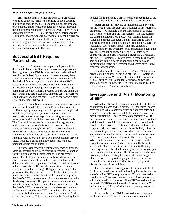#### *Electronic Benefits Transfer (continued)*

EBT could eliminate other program costs associated with food coupons, such as the printing of food coupons, distributing them to the States and issuing agents, issuance to recipients, and the cost to redeem the coupons through the banking system and the Federal Reserve. The OIG has been supportive of EBT to issue program benefits because it eliminates food coupons from serving as a second currency, as well as the middlemen in trafficking schemes, and it reduces program costs. As we will discuss later, it also provides a powerful tool to better identify stores and recipients who may be trafficking.

### **Successful EBT Requires Partnerships**

To make EBT systems work, partnerships had to be developed. Except for State general assistance programs, the programs where EBT is to be used are funded all, or in part, by the Federal Government. In several cases, State agencies administer the programs under agreements with the Federal funding agencies. In addition, since EBT systems are to use existing private systems to the extent practicable, the partnerships include private processing companies who operate EBT systems and private banks that move funds and settle accounts. In some cases, processors and banks are one and the same. Each of the partners plays a role in making EBT work.

Using the Food Stamp program as an example, program benefits are funded entirely by the Federal Government. USDA sets program policy, provides general oversight and monitoring of program operations, authorizes stores to participate, and receives reports accounting for store redemption activity and the draw down of Federal funds. The Food and Consumer Service enters into agreements with State agencies to administer the program. State agencies determine eligibility and issue program benefits. Since EBT is an issuance function, States enter into agreements with private processors to carry out the issuance function, with approval of the Food and Consumer Service. States issue EBT cards and allow recipients to select personal identification numbers.

The processor receives electronic information from the State agency telling it which recipient accounts to establish for the month and the benefit amount. The processor installs Point of Sale terminals in authorized stores so that stores can communicate with the central data base and determine whether recipients are authorized and the account balances available will cover the transaction. In some cases, stores had an existing EBT-type relationship with a processor other than the one selected by the State (a thirdparty processor). Rather than install duplicate equipment, the State's EBT processor enters into an agreement with the third-party processor. This permits the store to continue using its processor, but it is now able to communicate with the State's EBT processor's central data base and receive settlement for food stamp EBT transactions. The processor also settles individual store accounts for cumulative food stamp transactions. This is accomplished by drawing down

Federal funds and using a private bank to move funds to the stores' banks and then into the individual store accounts.

States are rapidly moving to implement EBT systems for the Food Stamp program and a number of other targeted programs. Two technologies are used currently to make EBT work: on-line and off-line systems. On-line systems use existing debit card technology with information maintained on a central computer system. The card is used to access information, including the account balance. Off-line technology uses "smart" cards. The card contains a microcomputer chip which stores information including the available account balance. Currently, 19 States have operational on-line EBT systems; 2 States have operational off-line EBT systems; 24 States have selected EBT processors and are in the process of approving contracts and implementing Statewide systems; and 3 States have issued requests for proposals.

In addition to the Food Stamp program, WIC program benefits are being issued using an off-line EBT system in selected counties in Wyoming. Fourteen States are issuing Aid to Families with Dependent Children and two issue some direct Federal benefits. Ten States are using EBT to issue a number of State program benefits.

### **Investigative and "Alert" Monitoring of EBT**

While the EBT card has not eliminated illicit trafficking by authorized stores and recipients, EBT-generated records have enabled OIG to better monitor and analyze sales and redemption activity. As a result, OIG can target stores that may be trafficking. There is more data pertaining to EBT transactions, compared to the food coupon issuance systems and it is readily available in electronic format. A valuable benefit of this involves the ability to identify the food stamp recipients who are involved in benefit trafficking activities. In contrast to paper food coupons, which lose their ownership identity immediately upon being used in a transaction, EBT benefits are attached electronically to the recipient. When the benefits are redeemed, they are stored on the computer system showing when and where the benefits were used. Once we identify a store where trafficking is occurring, we are also able to identify recipients who appear to be involved in the scheme. This information has become extremely valuable during the course of our investigations of stores, as well as providing key evidence to allow for criminal prosecution and/or administrative (program) disqualification of the recipients.

The first criminal investigation of trafficking in EBT food stamp benefits occurred in Reading, Pennsylvania (the site of the first EBT pilot project) in 1991, and resulted in convictions of 2 store owners and over 140 recipients who sold their benefits at the store. Since EBT started, we have initiated 199 EBT-related investigations, resulting in 261 indictments and 198 convictions, and monetary results of nearly \$4.5 million.

An example of our EBT investigative work involved our investigation of a small convenience store owner in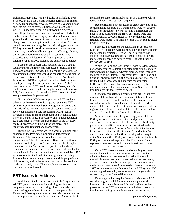Baltimore, Maryland, who pled guilty to trafficking over \$700,000 in EBT food stamp benefits during an 18-month period. He subsequently was sentenced to 2 years in prison and was ordered to pay restitution of \$250,000 to the USDA. In addition, over \$92,000 from the proceeds of these illegal transactions have been seized by or forfeited to the Government. Store employees admitted to our investigators that the store owner instructed them to add \$3 and change to all trafficking transactions at the store. This was done in an attempt to disguise the trafficking pattern so the EBT system would not show even-dollar transactions at their store, one of the tell-tale signs of trafficking. During our investigation we reviewed all transactions which exceeded \$20 and determined that 92 percent of these, totaling over \$745,000, included the additional \$3 charge.

Based on the success OIG had in using EBT data to identify stores and recipients suspected of trafficking, the Food and Consumer Service hired a contractor to develop an automated system that would be capable of doing similar reviews on a nationwide basis. The system, Anti-fraud Locator for EBT Redemption Transactions (ALERT), was developed using OIG's experience and input. ALERT has been tested using EBT data from several States, and after modifications based on the testing, is being used successfully for a number of States where EBT systems for food stamps have been implemented.

Not only has OIG been supportive of EBT, we have taken an active role in monitoring and reviewing EBT systems used for the Food Stamp program. In doing this, OIG identified key EBT operational areas that need to be reviewed: automated data processing (ADP) security; program benefit issuance and redemption; reconciliations between a State, its EBT processor, and Federal agencies; EBT settlement between the Department of the Treasury, the EBT processor, and the authorized stores; and EBT reporting, both financial and management.

During the last 2 years we led a work group under the auspices of the President's Council on Integrity and Efficiency. The work group issued a report entitled, "Implementing the EBT System: A Report on the Current Status of Control Systems," which describes EBT implementation in nine States, and a report to the Food and Consumer Service on issues that need to be addressed at the national level. Overall, our audits have concluded that EBT systems used for the Food Stamp program are working. Program benefits are being issued to the right people in the right amounts, and settlements among the parties are being made on a timely basis. There are, however, some issues that need to be addressed.

### **EBT Issues to Address**

With the available transaction data in EBT systems, the ALERT system is capable of identifying retailers and recipients suspected of trafficking. The down side is that there are large numbers of retailers and recipients that Federal and State agencies need to deal with but there is not a plan in place as to how this will be done. An example of

the numbers comes from analyses run in Baltimore, which identified over 7,000 suspect recipients.

Reconciliations between letter-of-credit draw downs for settlement and reported EBT transactions were not always made even though there were substantial differences that needed to be researched and resolved. There were also inconsistencies between States in how settlements with retailers were made. The impact of this will be felt as States begin to interact.

Some EBT processors are banks, and in at least one case the EBT accounts were co-mingled with other accounts maintained by recipients. We will need to ensure that auditors and investigators have access to financial records maintained by banks as defined by the Right to Financial Privacy Act of 1978.

While the Food and Consumer Service has developed a nationwide system to detect suspected trafficking, consideration needs to be given to whether similar control measures are needed at the State/EBT processor level. The Food and Consumer Service used South Carolina as a test project area for the EBT processor to run analyses for suspected trafficking. The project had good results and may be particularly suited for recipient cases since States have dealt traditionally with these types of cases.

Current record retention requirements are 3 years, yet criminal statutes typically have a 5-year statute of limitations. EBT-related records need a retention requirement consistent with the criminal statute of limitations. Most, if not all, States have statutes that define food coupon trafficking as a State offense. Similar State statutes are needed to define EBT card trafficking as a State offense.

Specific requirements for protecting private data in EBT systems have not been defined and provided to States and their EBT processors. This also is true for third-party processors. Specific requirements are contained in the "Federal Information Processing Standards Guidelines for Computer Security, Certification and Accreditation," and our recommendation is that these be adopted and required of the States and their EBT processors. State contracts with EBT processors need to provide that Federal and State representatives, such as auditors and investigators, have access to EBT processor records.

Once EBT systems were up and operating, reviews were not made to determine who had access to systems, what that level of access was and whether it was still needed. In some cases employees had high access levels, yet supervisors or another second party had not reviewed the level and determined it was needed. In one case, out of 1,600 active log-on identifications for the EBT system, 233 were assigned to employees who were no longer authorized access to any other State ADP system.

Federal guidelines require States to maintain an ADP security program which includes data and personnel; however, this has not been well defined and has not been passed on to the EBT processors through the contracts. It involves such things as employee security clearances,

*(continued on page 18)*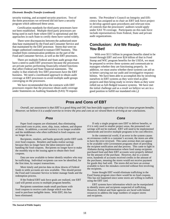#### *Electronic Benefits Transfer (continued)*

security training, and accepted security practices. Two of the three processors we reviewed did not have a security program which addressed these areas.

Certification standards for third-party processors have not been established. Multiple third-party processors are being used in each State where EBT is operational and the approaches in each State to certify them have varied widely.

There were discrepancies between the authorized-store data base maintained by the Food and Consumer Service and that maintained by the EBT processor. Stores that were no longer authorized continued to transact EBT business. This resulted from communication problems on the part of the Food and Consumer Service, as well as the EBT processors.

There are multiple Federal and State audit groups that have a need to audit EBT processors because the processors are private parties performing financially-related functions that affect Federal and State financial statements. The reality is that relatively few EBT processors have the EBT business. We need a coordinated approach to obtain audit coverage at EBT processors to avoid multiple audit groups converging on the processors.

We have recommended that the contracts with EBT processors require that the processor obtain audit coverage under Statements on Auditing Standards (SAS) 70 requirements. The President's Council on Integrity and Efficiency has assigned us to chair an EBT task force project to develop agreed-upon procedures and relevant tests of controls that the processors' auditors would apply under SAS 70 coverage. Participants on this task force include representatives from Federal, State and private audit organizations.

### **Conclusion: Are We Ready-- You Bet!**

With over \$111 billion in program benefits slated to be issued through EBT and over \$24 billion of that in Food Stamp and WIC program benefits for the USDA, we must be prepared to review these systems and communicate to managers whether they are functioning properly. In addition, we must assess whether these systems can aid us in better carrying out our audit and investigative responsibilities. We have been able to accomplish this by involving ourselves in EBT systems as they were tried as pilot projects and then being ready to review them as they were rolled out as full-fledged issuance systems. We have met the initial challenge and as a result we believe we are in a good position to fulfill our mandated role.❏

## **Pros and Cons of EBT**

*Overall, our assessment is that EBT is a good thing and OIG has been fully supportive of using it to issue program benefits. However, we believe it is a useful exercise to review the pros and cons as we viewed them in arriving at our conclusions.*

#### **Pros**

Paper food coupons are eliminated, thus eliminating associated costs to print, store, ship, issue, redeem, and dispose of them. In addition, a second currency is no longer available and the middlemen who often trafficked in food coupons can no longer do so.

Recipients, retailers, and banks generally prefer EBT cards over food coupons. Retailers and banks realize savings because they no longer have the labor-intensive task of handling the food coupons. Recipients no longer have to make the monthly trip to the issuing agent to obtain their food coupons.

Data are now available to better identify retailers who may be trafficking. Individual recipients can now be identified, for the first time, by suspect transactions.

More timely and precise data on draw downs of Federal funds to settle accounts are now available. This should permit the Food and Consumer Service to better manage funds and the redemption process.

If the Federal EBT task force goals are realized, one EBT card will permit access to multiple program benefits.

Recipients sometimes made small purchases with food coupons to receive cash change which was then used to purchase ineligible items. With EBT, this has been eliminated.

#### **Cons**

If only a single program uses EBT to deliver benefits, or if it is only used in smaller project areas, the presumed cost savings will not be realized. EBT will need to be implemented nationwide and involve multiple programs to be cost effective.

In the commercial world, if an error in the system causes an erroneous credit to a customer's account, the stores are able to have the error reversed. This same avenue does not appear to be available with Government programs short of providing the recipient notification and due process. This came to light in Alabama during implementation where food stamp recipients purchased food and their EBT accounts were properly debited for the amount of the purchase. However, due to a system error, hundreds of accounts received credits in the amount of the purchases, meaning the stores would not receive payment for goods they had sold. The stores did not have an avenue available to have the mistakes corrected without first involving the recipients.

Some thought EBT would eliminate trafficking in the Food Stamp program since there would be no food coupons. This has not happened since some stores are willing to traffick using the EBT card.

EBT systems have information which can be manipulated to identify stores and recipients suspected of trafficking. However, Federal and State agencies are faced with limited resources to address the large numbers of suspect stores and recipients.

**The Journal of Public Inquiry**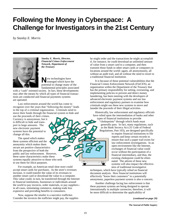## **Following the Money in Cyberspace: A Challenge for Investigators in the 21st Century**

*by Stanley E. Morris*



*Stanley E. Morris, Director, Financial Crimes Enforcement Network, Department of the Treasury*

**N**ew technologies have emerged which have the potential to change many of the fundamental principles associated

with a "cash" oriented society. In fact, these developments may alter the means by which all types of financial transactions are conducted and financial payments systems are operated.

Law enforcement around the world has come to recognize over the years that "following the money" leads to the top of a criminal organization. Criminals need to move their funds through the financial system to hide and

use the proceeds of their crimes. Currency is anonymous, but it is difficult to hide and transport in large amounts. The new electronic payment systems have the potential to change all this.

The speed which makes these systems efficient and the anonymity which makes them secure are positive characteristics from the perspective of both the public and law enforcement. However, these same characteristics make these systems equally attractive to those who seek to use them for illicit purposes.

For example, an American retail shoe store could accept smart cards for purchases. As the store's revenues increase, it could transfer the value of its revenues to another smart card or download the value to a computer. This value could, in turn, be transferred through the Internet to financial institutions, businesses or individuals around the world to pay invoices, order materials, or pay suppliers- in all cases, stimulating commerce, making trade less expensive and providing benefits to consumers.

Now, suppose the retailer is a narcotics trafficker. Consider the invoices the trafficker might pay, the supplies he might order and the transactions he might accomplish if, for instance, he could download an unlimited amount of value from a smart card to a computer, and then transmit those funds to other smart cards or computers in locations around the world--again, all anonymously, all without an audit trail, and all without the need to resort to a traditional financial institution.

It is because of these potential vulnerabilities that the Financial Crimes Enforcement Network (FinCEN), an organization within the Department of the Treasury that has the primary responsibility for setting, overseeing, and implementing policies to prevent and detect money laundering, has been meeting with the developers of advanced electronic payment systems and our law enforcement and regulatory partners to examine how criminals might use these new systems to move and launder the proceeds of their illegal activities.

Historically, law enforcement and regulatory officials have relied upon the intermediation of banks and other types of financial institutions to provide

'chokepoints'' through which funds must generally pass. In fact, many regulations, such as the Bank Secrecy Act (31 Code of Federal Regulations, Part 103), are designed specifically

> to require financial institutions to file reports and keep certain records to ensure that such a paper trail exists for law enforcement investigations. In an open environment like the Internet, exchanges of financial value could occur without the participation of a financial intermediary, and thus, the existing chokepoint could be eliminated. The advent of these new systems will also impact the effectiveness of traditional investigative

techniques, which have typically relied on financial document analysis. How financial institutions will effectively "know their customers" in a potentially anonymous, paperless payment system is also a concern.

Another challenge facing law enforcement is that these payment systems are being designed to operate internationally in multiple currencies; therefore, it will be more difficult to determine the applicability of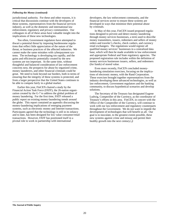#### *Following the Money (continued)*

jurisdictional authority. For these and other reasons, it is critical that discussions continue with the developers of these systems, representatives from the financial services industry, as well as the domestic and international law enforcement, regulatory and privacy communities. Our colleagues in all of these areas have valuable insight into the implications of these new technologies.

Too often, Government regulators have attempted to thwart a potential threat by imposing burdensome regulations that reflect little appreciation of the nature of the threat, or business practices of the affected industries. We cannot make the same mistakes with cyberpayment systems. The technology is developing too rapidly, and the gains and efficiencies potentially created by the new systems are too important. At the same time, without thoughtful and balanced consideration of law enforcement concerns now, the prospects for abuse by organized crime, money launderers, and other financial criminals could be great. We need to look beyond our borders, both in terms of ensuring that the integrity of these systems is protected, and from a larger perspective that the United States continues to be able to compete fairly in a global market.

Earlier this year, FinCEN chaired a study by the Financial Action Task Force (FATF), the 26-nation organization created by the G-7 to address the global problem of money laundering. For the first time, FATF released a public report on existing money-laundering trends around the globe. This report contained an appendix discussing the money-laundering implications of emerging payment systems, such as electronic money and Internet transactions. Participants agreed that the technology is still in its infancy and to date, has been designed for low value consumer/retail transactions. However, FATF has positioned itself in a pivotal role to work in partnership with international

developers, the law enforcement community, and the financial services sector to ensure these systems are developed in ways that minimize their potential abuse by criminals.

In May of this year, FinCEN issued proposed regulations designed to prevent and detect money laundering through money services businesses, a term used to describe money transmitters, issuers, redeemers and sellers of money orders and traveler's checks, check cashers, and currency retail exchangers. The regulations would register all qualified money services' businesses in a centralized data base, which will then be made available to law enforcement and appropriate Federal and State regulatory agencies. The proposed registration rule includes within the definition of money services businesses issuers, sellers, and redeemers (for funds) of stored value.

Even more recently, FinCEN concluded moneylaundering simulation exercises, focusing on the implications of electronic money, with the Rand Corporation. These exercises brought together representatives from the industry developing these advanced technologies, as well as law enforcement, Government regulators and the banking community, to discuss hypothetical scenarios and develop solutions.

The Secretary of the Treasury has designated Eugene Ludwig, Comptroller of the Currency, as the coordinator of Treasury's efforts in this area. FinCEN, in concert with the Office of the Comptroller of the Currency, will continue to work with our law enforcement and regulatory counterparts throughout the Government. We do not want to impede the development of technologies that will benefit us all. Our goal is to inoculate, to the greatest extent possible, these new systems against crime and misuse and permit their healthy growth into the next century.**□** 

#### **The Journal of Public Inquiry**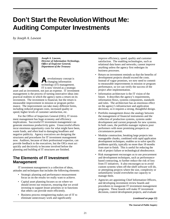## **Don't Start the Revolution Without Me: Auditing Computer Investments**

*by Joseph A. Lawson*



*Joseph A. Lawson, Director of Information Technology, Office of Inspector General, Department of the Treasury*

revolutionary concept is changing information technology (IT) management. IT is now viewed as a strategic

asset and an investment, not just an expense. IT investment management is the process of turning innovative ideas into practical realities in which the agency earns a return on its investment. The investment is financial, but the return is measurable improvement in mission or program performance. The improvement can take many different forms, including reduced program costs, increased quality or speed, higher levels of customer satisfaction, etc.

For the Office of Inspectors General (OIG), IT investment management has huge economy and efficiency implications. Successful IT investment management can generate enormous productivity gains. Unsuccessful efforts incur enormous opportunity costs for what might have been, waste funds, and often lead to damaging headlines and negative publicity. Agency executives are designing the structures and procedures for IT investment management now. Auditors, because of their professional expertise, can provide feedback to the executives, but the OIGs must act quickly and decisively to become involved before the planning and building of IT structures are finished.

## **The Elements of IT Investment Management**

IT investment management is a collection of ideas, attitudes and techniques that includes the following elements:

- Strategic planning and performance measurement focus us on the results we really want to achieve.
- Capital asset planning focuses us on where we should invest our resources, ensuring that we avoid investing to support lesser priorities or in functions that others can provide more efficiently.
- Business process reengineering makes use of IT to eliminate unnecessary work and significantly

improve efficiency, speed, quality and customer satisfaction. The enabling technologies, such as relational data bases and networks, cannot improve anything unless the agency first redesigns its business processes.

- Return on investment reminds us that the benefits of development projects should exceed the costs. Instead of vague promises, we now need to commit to measurable improvements in mission or program performance, so we can verify the success of the project after implementation.
- Information architecture is the IT vision of the future. It describes the agency's requirements, information flows, systems components, standards and rules. The architecture has an enormous effect on the agency's infrastructure and application decisions, so it requires a strong, thoughtful design.
- Portfolio management draws the analogy between the management of financial instruments and the collection of production systems, systems under development and current proposals for new systems. In both cases, the portfolio manager replaces poor performers with more promising prospects as circumstances permit.
- Modular construction, breaking large projects into manageable chunks, combined with rapid application development techniques, enables us to solve specific problems quickly, typically no more than 18 months from start to finish. This is useful for reducing the risk of project failure or technological obsolescence.
- Risk management encourages us to use procurement and development techniques, such as performancebased contracting, to further reduce the risk of loss from IT initiatives. It also encourages us to avoid custom systems when off-the-shelf software will do, or attempting projects where the size, complexity or unfamiliarity would overwhelm our capacity to manage them.
- Agencies are appointing Chief Information Officers, and developing investment review boards and procedures to inaugurate IT investment management programs. These boards will make IT investment decisions, control development projects, and evaluate

*<sup>(</sup>continued on page 22)*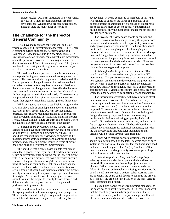#### *Revolution (continued)*

project results. OIGs can participate in a wide variety of ways in IT investment management program developments. What follows are some suggestions, although there are many other possibilities.

## **The Challenge for the Inspector General Community**

OIGs have many options for traditional audits of various aspects of IT investment management. The General Accounting Office publication, *Assessing Risks and Returns: A Guide for Evaluating Federal Agencies': IT Investment Decision-making,* contains valuable information about the processes involved, the data required and the decisions made in IT investment management. The guide is invaluable for creating audit programs to examine project selection, control and evaluation.

The traditional audit process looks at historical events, and reports findings and recommendations long after the events. This works well during periods of relative stability. During periods of change, however, immediate feedback can affect matters before they freeze in place. Feedback that comes after the change is much less effective because structures and procedures harden during the delay, making further progress more difficult and costly. These structures and procedures will have significant consequences for years, thus agencies need help setting up these things now.

While an agency attempts to establish its program, the OIG can play a role as an independent advisor engaged in activities as they occur. The OIG can provide timely, practical, constructive recommendations to spur progress, solve problems, eliminate obstacles, and maintain a professional, ethical climate. There are three major points where the auditors can provide great benefits to the agency:

1. *Designing the Investment Review Board.* Each agency should have an investment review board consisting of high level IT, finance and program executives. The board has responsibility for reviewing and approving IT investment proposals, monitoring and controlling funded projects, and evaluating project results in terms of project goals and mission performance improvements.

The board selects projects based on data that demonstrate that a proposed new system will produce a sufficient return on investment after adjusting for the inherent project risk. After selecting projects, the board exercises ongoing control of the projects, monitoring them for early indications of trouble in their budgets, schedules, functionality and deliverables. When the board detects indications of serious trouble, it should take action to continue the project, modify it in some way to improve its prospects, or terminate it outright. At the conclusion of each project the board should evaluate the project to identify lessons learned and determine whether the project achieved the planned performance improvements.

The board should include representatives from across the agency so that it will have an agency-wide perspective. These members should be high enough in the organization so that their decisions are subject to override only by the

agency head. A board composed of members of low rank will hesitate to question the value of a proposal or an ongoing project championed by executives of higher rank. Since the board must be able to identify and terminate failing projects, only the most senior managers can take the heat for such decisions.

The investment review board should encourage and introduce innovations that change the way the agency does business in addition to its formal responsibility to review and approve proposed investments. The board should not limit itself to processing requests for funding against elaborate, detailed criteria. Certainly the Office of Management and Budget has provided very useful and valuable criteria about capital planning, information architecture and risk management that the board must consider. However, the greater value of the board will come from the positive changes it encourages and supports.

2. *Managing the Portfolio and Architecture.* The board should also manage the agency's portfolio of IT investments. The portfolio consists of the current production systems, systems under development and proposals for new systems. Before the board can make any decisions about new initiatives, the agency must have an information architecture, an IT vision of the future that clearly describes where the agency wants to go functionally and technically.

The information architecture will have a serious effect in terms of future investments. The architecture may require significant investment in infrastructure (computers, networks, software, etc.). The board will make sure that proposed IT investments conform with the architecture, rejecting those that do not. If the architecture lacks good design, the agency may spend more than necessary to implement it. Before evaluating proposals, the board should validate the information architecture, making sure it fits the agency's business plans. The board should also validate the architecture for technical soundness, considering the probabilities that particular technologies and vendors will be viable several years from now.

Further, when making portfolio decisions, the board should take action based on the total life cycle costs of each system in the portfolio. This means that the board may need to decide when to replace older "legacy" systems. After a time, maintenance and opportunity costs may get so large that replacement is the smart choice.

3. *Monitoring, Controlling and Evaluating Projects.* When systems are under development, the board has the responsibility for ensuring that each project proceeds as planned. When there are warnings of unexpected costs, delays, inadequate deliverables or missing functionality, the board should take corrective action. When warning signs are apparent, the board could decide to continue the project as is, modify the project or the plan, or, in the most serious cases, terminate the project.

This requires honest reports from project managers, so the board needs to set the right tone. If it becomes apparent that the board only wants to hear good news, or that it overreacts to minor problems, project managers will most likely not be as candid as needed. Also, the board must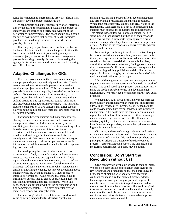resist the temptation to micromanage projects. That is what the agency pays the project manager to do.

When projects end, either successfully or after termination by the board, the board should evaluate the project to identify lessons learned and verify achievement of the performance improvements. The board should avoid doing the sort of post-mortem that only identifies the project's problems, as this does great harm to the workers who probably did their best.

If an ongoing project has serious, insoluble problems, the board should decide to terminate the project. When the board admits mistakes and stops spending money on a useless project, it means the IT investment management process is working correctly. Instead of hammering the agency for its failure, we should salute the board for taking such difficult action.

## **Adaptive Challenges for OIGs**

Effective involvement in the IT investment management program depends upon timely audit reports. Timely recommendations cost less to implement because they require less project backtracking. This is consistent with the proverb about designing in quality instead of inspecting out defects. To make recommendations in real time, so to speak, means that field work must be concurrent with the audited activities, and report writing, editing, publication and distribution need radical improvement. This invariably leads to consideration of two concepts that differ substantially from the traditional audit methodology, partnering and new audit products.

Partnering between auditors and management means sharing the day-to-day information about IT investment management activities. It does not necessarily mean sacrificing auditor independence. Traditional auditing relies heavily on reviewing documentation. We know from experience that documentation is often incomplete and usually produced long after the developers finish the underlying work. We cannot be effective unless management trusts us enough to allow us open access to inside information in real time so we know what is really happening, good and bad.

Partnerships require trust. Auditors need to trust management to freely share information, and management needs to trust auditors to act responsibly with it. Audit reports should attempt to influence change, not to confront or belittle managers as incompetent, foolish or morally bankrupt. (Of course, there are times when management is unable or unwilling to change, but here we are talking about managers who are trying to manage IT investments to improve performance.) Audit reports that misuse inside information quickly lead to closed doors, ending access to real time information about real problems. When this happens, the auditor must wait for the documentation and find something reportable. In a developmental environment, such reports will rarely be useful.

Partners bring value to the relationship. Auditors add value by acting independently, identifying problems,

making practical and perhaps difficult recommendations, and preserving a professional and ethical atmosphere. When done constructively, auditors add great value to the relationship. Management also needs to understand that auditors must observe the requirements of independence. This means that auditors will not make managerial decisions, nor will they restrict distribution of their reports to just a few insiders. Our reports typically reach a broad audience, except when they discuss security or proprietary details. As long as the reports are constructive, the partnership should continue.

New audit products might enable us to deliver thoughtful recommendations in a more timely manner. We traditionally convey our audit results in formal audit reports that contain explanatory material, disclaimers, boilerplate, descriptions of the work performed, findings, recommendations, management's official response, etc. We spend a lot of time writing, editing, publishing and distributing our reports, leading to a lengthy delay between the end of field work and the distribution of the report.

We could reengineer the reporting process, eliminating sequential reviews and empowering a few to do the work of many. This could speed up the process, but not necessarily make the product suitable for use in a developmental environment. We really need to consider entirely new audit products.

We need new audit products that deliver our message more quickly and frequently than traditional audit reports allow. In meetings, a well-prepared, experienced auditor could provide immediate, verbal feedback that influences management. This could have the same effect as an audit report, but tailored to fit the situation. Letters to management could convey more serious or difficult matters relatively quickly. If the verbal comments or letters are insufficient or inappropriate, we have the option of escalating to a formal audit report.

Of course, in the era of strategic planning and performance measurement, auditors need to demonstrate the value of these kinds of activities. We need to measure how our participation affects the outcome of the development process. Partner satisfaction surveys are one method of measuring performance, and there may be others.

## **Conclusion: Don't Start the Revolution without Us!**

OIGs can provide a valuable service to their agencies. We can help them design and establish their investment review boards and procedures so that the boards have the best chance of making wise and effective decisions. Auditors can make sure that selected projects address business process reengineering opportunities, project realistic improvements in mission performance, and use modular construction that conforms with a well-designed information architecture. Additionally, auditors can help make sure that controls over selected investments ensure real investment returns in terms of measurable improvements in mission performance.❏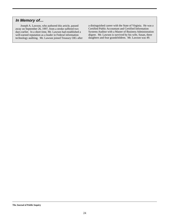### **In Memory of…**

Joseph A. Lawson, who authored this article, passed away on September 26, 1997, from a stroke suffered two days earlier. In a short time, Mr. Lawson had established a well-earned reputation as a leader in Federal information technology auditing. Mr. Lawson joined Treasury OIG after a distinguished career with the State of Virginia. He was a Certified Public Accountant and Certified Information Systems Auditor with a Master of Business Administration degree. Mr. Lawson is survived by his wife, Susan, three daughters and four grandchildren. Mr. Lawson was 49.

**The Journal of Public Inquiry**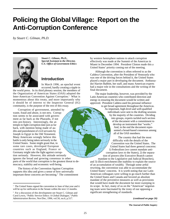## **Policing the Global Village: Report on the Anti-Corruption Conference**

*by Stuart C. Gilman, Ph.D.*



*Stuart C. Gilman, Ph.D., Special Assistant to the Director, U.S. Office of Government Ethics*

## **Introduction**

In March 1996, an epochal event occurred, hardly creating a ripple in

the world press. In its third plenary session, the members of the Organization of American States (OAS) adopted the Inter-American Convention Against Corruption.<sup>1</sup> What is momentous about this treaty, and more importantly why it should be of interest to the Inspector General (IG) community, is the purpose of the rest of this essay.

Corruption of government, attended by waste, fraud and abuse, is not new. Corruption seems to be associated with government as far back as the Pharaohs, if not into pre-history. Interestingly, the attempts to fight corruption date just as far back, with mention being made of audits and punishment of civil servants by Joseph in Egypt in the Old Testament. Many Americans wrongly believe this battle is only being taken seriously in the United States. Some might grant that, in some rare cases, developed European countries such as England, France or Germany might take the fight against corruption seriously. However, this attitude seriously ignores the broad and growing consensus in other parts of the world that corruption is the greatest threat to democracy, stability and economic well-being.

The history of the Convention Against Corruption supports this idea and gives a sense of how universally important these concerns are becoming.2 The commitment by western hemisphere nations to attack corruption effectively was made at the Summit of the Americas in Miami in December 1994. President Clinton made this a United States' priority coming out of the meeting.

Although the convention is often referred to as the Caldera Convention, after the President of Venezuela who was one of the driving forces behind it, the United States played a major part in developing the document. Ambassador Harriet Babbitt, her staff, and many American experts had a major role in the consultations and the writing of the final document.

The major leadership, however, was provided by the Latin American countries who contributed direction and energy in ensuring the document would be written and approved. President Caldera used his personal influence

to get broad agreement throughout the Americas. As important, high-level and well-qualified individuals were sent to the drafting sessions by the majority of the countries. Dividing into groups, experts tackled each section of the document with a commitment to develop an instrument that "works." And, in the end the document represented a broad-based consensus among all of the OAS members.

The country that had the most difficulty with the details of the Convention was the United States. The United States had three general concerns: 1) Federalism (we cannot mandate anticorruption laws to the States), 2) the separation of powers (the Executive Branch cannot

mandate to the Legislative and Judicial Branches), and 3) illicit enrichment (the inability to explain the source of an accumulation of wealth). Through some artful rewriting, the convention was able to accommodate the United States' concerns. It is worth noting that our Latin American colleagues were willing to go much further than the United States and Canada and favored an absolute mandate of the preventive measures as well as provisions that would have made the document far more sweeping in its scope. In fact, many of us on the "American" negotiating team were fascinated by the irony of our opposing a significant strengthening of standards.

<sup>&</sup>lt;sup>1</sup> The United States signed the convention in June of that year and it will be up for ratification in the Senate within the next 12 months.

<sup>2</sup> For a discussion of this development see Stuart C. Gilman and Carol Lewis, "Public Service Ethics: A Global Dialogue," *Public Administration Review*, Nov/Dec, 1996, vol.56, no.6, p.517.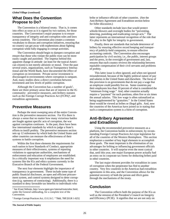## **What Does the Convention Propose to Do?**

The Convention is a bilateral treaty. That is, it comes into effect as soon as it is signed by two nations, for those countries. The Convention's major purpose is to ensure transparency of integrity and anti-corruption rules and laws across countries. The Convention also creates a common vocabulary to discuss anti-corruption initiatives, ensuring that no country can get away with euphemisms about fighting corruption while fully engaging in corrupt activities.

The Convention should begin to dampen corruption and ensure that those who violate the public trust can be more easily caught and punished. The impetus behind this apparent change in attitude (at least for the typical American citizen) is not merely altruistic or moral. Over the past several years, organizations, such as Transparency International and the World Bank, have documented the effect of corruption on investment. Private sector investment is discouraged in environments where corruption is rampant. And, many studies show a direct correlation between investment and low levels of public corruption.

Although the Convention has a number of goals<sup>3</sup>, there are three primary areas that are of interest to the IG community: preventive measures, anti-bribery statutes such as the Foreign Corrupt Practices Act (FCPA)<sup>4</sup>, and extradition agreements.

## **Preventive Measures**

Perhaps the most sweeping area of the entire Convention is the preventive measures section. For IGs there is always a sense that no matter how many victorious battles are fought against specific acts of corruption, the war against corruption continues. In the past, there have been few international standards by which to judge a State's efforts to instill probity. The preventive measures section sets up 12 milestones by which both the United States and other countries can measure the effectiveness of their systems to battle corruption.

Within the first three elements the requirements for each nation to have Standards of Conduct, appropriate measures of their effectiveness, systems of reporting violations to appropriate authorities, mechanisms of enforcement and education of employees are established. In a critically important way it emphasizes the need for systems like the IGs and ethics systems currently in the Executive Branch of the Federal Government.

The next four elements highlight the importance of transparency in government. These include some type of public financial disclosure, an open and efficient procurement system, and control systems designed to deter corruption (e.g. openness of contracting). Additionally, there is a standard to deny favorable tax benefits to individuals who

bribe or influence officials of other countries. (See the Anti-Bribery Agreement and Extradition section below for fuller discussion.)

Other standards include laws that would protect whistle-blowers and oversight bodies for "preventing, detecting, punishing and eradicating corrupt acts." The latter represents an international recognition of the role that IGs play in the fight for integrity in government.

Finally, there are standards that include deterrence of bribery by ensuring effective record keeping and transparency of publicly-held companies, to ensure effective accounting controls. The Convention also encourages participation by civil society, i.e., the public, interest groups and the press, in the oversight of government and, last, ensures that each country reviews the relationship between equitable compensation of their civil servants and problems of probity.

This latter issue is often ignored, and when not ignored misunderstood, because of the highly political nature of pay and salaries in the United States and elsewhere. The focus of this provision is on governments that do not pay a wage that an employee could possibly live on. Some countries pay their employees less than 10 percent of what is considered the "minimum living wage." And, other countries actually require a "payment" for such positions, often five or six times the annual salaries. This low wage is often rationalized as being supplemented by "gratuities." In the United States these would be viewed as bribes or illegal gifts. And, now the countries of the Americas have joined us in stating that such a compensation system is a form of corruption.

## **Anti-Bribery Agreement and Extradition**

Using the recommended preventive measures as a platform, the Convention builds in enforcement, by recommending Foreign Corrupt Practices Act-type legislation for all of the countries of the Western Hemisphere. This section emphasizes a number of key legal elements to accomplish these goals. The most important is the elimination of tax advantages for bribing or influencing government officials in other countries. It will surprise even the most cynical that, until this year, one major European power actually had an entry on its corporate tax forms for deducting bribes paid in other countries.

The last major element provides for extradition in cases of corruption when the perpetrator has fled to another country. Very few countries in the Americas had extradition agreements in this area, and the Convention allows for the potential recovery of both the person and illicit gains through the mechanisms of the treaty.

## **Conclusion**

The Convention reflects both the purpose of the IGs as well as the mission of the President's Council on Integrity and Efficiency (PCIE). It signifies that we are not only on

<sup>3</sup> See IGnet Website, http://www.ignet.gov/internal/train/educ.html, under the General subheading, for a complete text of the Convention.

<sup>4</sup> Foreign Corrupt Practices Act, 15 U.S.C. ''78dd, 78ff [EGR 1-025]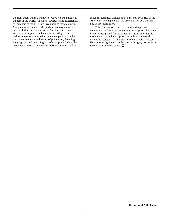the right track, but in a number of ways we are a model to the rest of the world. The laws, structures and experiences of members of the PCIE are invaluable to these countries. Many members can provide guidance as to our successes and our failures in these efforts. And for that reason Article XIV emphasizes that countries will give the "widest measure of mutual technical cooperation on the most effective ways and means of preventing, detecting, investigating and punishing acts of corruption." Over the next several years, I believe the PCIE community will be

asked for technical assistance by our sister countries in the Americas. My hope is that we greet this not as a burden, but as a responsibility.

This Convention is also a sign that the greatest contemporary danger to democracy--corruption--has been broadly recognized for the cancer that it is; and that the movement to attack corruption throughout the world cannot be resisted. As the great French novelist, Victor Hugo wrote, "greater than the tread of mighty armies is an idea whose time has come."❏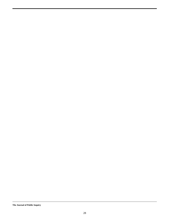**The Journal of Public Inquiry**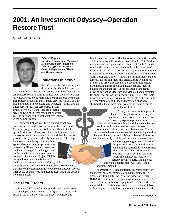## **2001: An Investment Odyssey--Operation Restore Trust**

*by John M. Hapchuk*



*John M. Hapchuk,*

*Director, Programs and Operations Health Care Financing Audits Division, Office of Inspector General, Department of Health and Human Services*

## **Initiative Objective**

For 30 years, health care expenditures in the United States have

risen faster than inflation and population. One factor is the unnecessary cost of fraud and abuse. Operation Restore Trust (Project ORT) is a long-term initiative, sponsored by the U.S. Department of Health and Human Services (HHS), to fight fraud and abuse in Medicare and Medicaid. It has two distinct phases: 1) a 2-year demonstration con-

fined to five States and specific program areas; and 2) a multi-year continuation which will institutionalize the "best practices" refined in the demonstration.

The second phase will focus on additional geographical areas, and it will include all Medicare and Medicaid program areas with a few initially selected for special attention. This project will help ensure that the cost of health care is reasonable and that the care is provided only when medically necessary. The large

increases in health expenditures (both appropriate and inappropriate) have caused significant financial stress on the Federal budget, State budgets, and on the beneficiaries who pay "out-ofpocket" coinsurance. Project ORT is designed to protect beneficiaries from health care providers who unfairly, and

often illegally, seek to enrich themselves. We believe that many of the techniques developed or enhanced in Project ORT could be transfered and used to fight fraud and abuse in nonhealth areas.

## **The First 2 Years**

Project ORT started as a 2-year demonstration project that developed innovative ways to fight fraud, waste and abuse in the five States with the largest Medicare and

Medicaid expenditures. The demonstration was financed by \$7.9 million from the Medicare Trust Funds. This funding was designed to supplement existing HHS funds for antifraud and abuse activities. An interdisciplinary team of Federal, State and local government representatives targeted Medicare and Medicaid abuses in California, Florida, New York, Texas and Illinois. About 12.4 million Medicare and almost 13.6 million Medicaid beneficiaries live in these States. The project focused on the areas of home health care, nursing homes (including hospices), and medical equipment and supplies. These are three of the fastest growing sectors of Medicare and Medicaid and accounted for about \$63 billion in expenditures in 1996. Their rapid growth as well as our evaluation of the inherent risks in the determination of eligibility and provision of services showed that these three areas were ideally suited for the

2-year demonstration.

The 2-year demonstration project changed the way Government fought health care fraud. Prior to the demonstration project, program representatives, Medicare contractors, Medicaid State agencies, and auditing and law enforcement agencies rarely coordinated their attacks on problem areas. Traditional techniques were sequential, lengthening the time between identifying and solving problems. Front-line employees rarely participated in selecting targets and

developing strategies to combat fraud. Project ORT broke with tradition by encouraging participants to coordinate their efforts earlier and focus on specific issues in defined locations. Front-line employees were now actively involved early, and national and State-specific plans were developed and implemented.

The Project ORT demonstration cultivated teamwork among various governmental groups, including three agencies within HHS--the Office of Inspector General (OIG), the Health Care Financing Administration (HCFA), and the Administration on Aging (AoA). Other participants included the Department of Justice (DOJ), representatives of State agencies, long-term care ombudsmen, and fraud

*(continued on page 30)*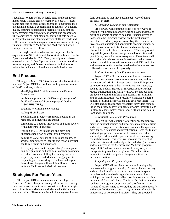#### *2001: An Investment Odyssey (continued)*

specialists. Where before Federal, State and local governments rarely worked closely together, Project ORT used teams made up of these different groups to maximize their talents in an effective combination of auditors, evaluators, quality assurance specialists, program officials, ombudsmen, payment safeguard staff, attorneys, and prosecutors. The teams' use of joint planning, sharing of data bases to target problems, and blending diverse skills has made and will continue to make a major contribution toward restoring financial integrity to Medicare and Medicaid and set an example for others to follow.

One might question what was accomplished by the expenditure of \$7.9 million of demonstration funds over the 2 years ended March 1997. Two types of products have emerged so far: 1) "end" products which can be quantified to some degree; and 2) new or enhanced techniques to reduce the incidence of fraud and abuse in health care.

## **End Products**

Through its March 1997 termination, the demonstration phase of Project ORT had produced an impressive number of "end" products, such as:

- identifying \$187.5 million owed to the Federal Government;
- resolving approximately 3,600 complaints (out of the 13,000 received) from the project's hotline (1-800-HHS-TIPS);
- obtaining 74 criminal convictions;
- settling 58 civil cases;
- excluding 218 providers from participating in the Medicare and Medicaid programs;
- completing 231 audits, inspections and other reviews with another 98 in process;
- working on 210 investigations and providing litigation support on another 69 indictments;
- training of 2,765 persons at 65 sessions on how to assist senior citizens to identify and report potential health care fraud and abuse; and
- developing evidence to support changes to legislation or regulations on home health agency payments, provider enrollment, billing for nursing services, hospice payments, and Medicare drug payments. Depending on the wording of the laws and regulations, these changes will result in millions of dollars in future Medicare and Medicaid savings.

## **Strategies For Future Years**

The Project ORT demonstration also developed or "fine-tuned" six techniques (strategies) for use in reducing fraud and abuse in health care. We will use these strategies in all of our future Medicare and Medicaid anti-fraud and abuse activities. These strategies will be integrated into our daily activities so that they become our "way of doing business" in HHS.

#### *1. Targeting, Execution and Resolution*

Project ORT will continue to develop new ways of working with program managers, using payment data, and profiling possible abusers to help target audits, investigations, and other program reviews on the most abusive providers in certain program areas. Together, reviewers, investigators, auditors and appropriate program managers will employ more sophisticated methods of analyzing claims data to make these assessments. Where appropriate, they will be joined by medical personnel to identify and quantify payments for unnecessary care. These teams will also make referrals to criminal investigators when warranted. In addition, we will coordinate with DOJ and other entities to ensure that monies owed to the Government are collected and accounted for properly.

#### *2. Coordination of Law Enforcement Actions*

Project ORT will continue to emphasize increased coordination between program representatives, auditors, evaluators and criminal investigators. We will improve our coordination with other law enforcement agencies, such as the Federal Bureau of Investigation, to further reduce duplication, and work with DOJ so that our final products contain the information essential for criminal and/or civil litigation. As a result, we anticipate a large number of criminal convictions and civil recoveries. We will also ensure that former "problem" providers remaining in the program have stringent corporate integrity plans in place to ensure better compliance with existing health laws and regulations.

#### *3. National Policies and Procedures*

Project ORT will continue to identify needed improvements in national policies and procedures to eliminate fraud and abuse. Program evaluations and audits will expand on provider-specific audits and investigations. Both multi-state and multiple provider reviews will focus on individual aberrant providers and the systemic weaknesses allowing for such behavior. This work will measure the extent of problems nationwide and analyze the underlying incentives and weaknesses in the Medicare and Medicaid programs. Project ORT will recommend national policy or system changes to improve these programs. We will continue to monitor the status of policy changes identified in the demonstration.

#### *4. Quality and Program Integrity*

Project ORT will facilitate the integration of quality processes with program integrity. State and Federal survey and certification officials visit nursing homes, hospice providers and home health agencies on a regular basis, which places them in an excellent position to spot possible instances of fraud and abuse. Traditionally, their orientation has been on program compliance and certification issues. As part of Project ORT, however, they are trained to identify and report (to Medicare contractors) instances of medically unnecessary or noncovered services. They are provided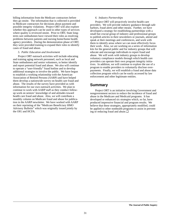billing information from the Medicare contractors before they go onsite. The information that is collected is provided to Medicare contractors for decisions about payment and possible integrity violations. Project ORT will also explore whether this approach can be used in other types of services where quality is reviewed onsite. Prior to ORT, State longterm care ombudsmen have viewed their roles as resolving problems between patients and nursing home/home health agency providers. During the demonstration phase of ORT, they were provided training to expand their roles to identify cases of fraud and abuse.

#### *5. Public Education and Involvement*

Project ORT outreach activities will include educating and training aging network personnel, such as local and State ombudsmen and senior volunteers, to better identify and report potential fraud and abuse. We also will continue to operate a "user-friendly" fraud hotline and to develop additional strategies to involve the public. We have begun to establish a working relationship with the American Association of Retired Persons (AARP) and have helped them develop a nationwide survey on health care fraud and abuse. The results of the survey have provided us with information for our own outreach activities. We plan to continue to work with AARP staff as they conduct followup work on seniors' knowledge of and attitudes toward health care fraud and abuse. Also, we will contribute a monthly column on Medicare fraud and abuse for publication in the AARP newsletter. We have worked with AARP on their reprinting of the "Medicare Beneficiary HMO Advisory Bulletin" which was originally issued jointly by the OIG and HCFA.

#### *6. Industry Partnerships*

Project ORT will proactively involve health care providers. We will provide industry guidance through safe harbors, fraud alerts and other means. Further, we have developed a strategy for establishing partnerships with a small but crucial group of industry and professional groups to publish articles in their newsletters or journals, attend and speak at their meetings and conferences, and work with them to identify areas where we can most effectively focus their work. Also, we are working on a series of information kits for the general public and for industry groups that will educate and encourage individuals to report fraud and abuse. We will work with industry groups to develop voluntary compliance models through which health care providers can operate their own program integrity initiatives. In addition, we will continue to explore the use of a program to enable providers to voluntarily disclose overpayments. Finally, we will establish a fraud and abuse data collection program which can be easily accessed by law enforcement and other legitimate entities.

### **Summary**

Project ORT is an initiative involving Government and nongovernment sectors to reduce the incidence of fraud and abuse in the Medicare and Medicaid programs. It has developed or enhanced six strategies which, so far, have produced impressive financial and program results. We believe that these strategies, appropriately modified, could be applied to other nonhealth programs to assist in preventing or reducing fraud and abuse.❏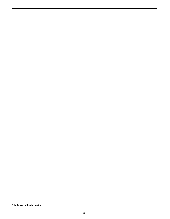**The Journal of Public Inquiry**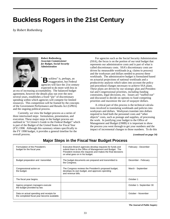## **Buckless Rogers in the 21st Century**

*by Robert Rothenberg*



*Robert Rothenberg, Associate Commissioner for Budget, Social Security Administration*

uckless" is, perhaps, an exaggeration, but Federal agencies will face the 21st century expected to do more with less in **B**

an era of increasing accountability. The balanced budget agreement, however the details play out over the next several years, establishes a fixed "pie" of discretionary spending within which agencies will compete for limited resources. This competition will be framed by the concepts of the Government Performance and Results Act (GPRA) and the ongoing political process.

**"**

Currently, we view the budget process as a series of three intertwined steps: formulation, presentation, and execution. These major steps in the budget process are outlined in "A Citizen's Guide to the Federal Budget" which is part of the Budget of the United States for Fiscal Year (FY) 1998. Although this summary relates specifically to the FY 1998 budget, it provides a general timeline for the overall process.

For agencies such as the Social Security Administration (SSA), the focus is on the portion of our total budget that represents our administrative costs and is part of what is called discretionary costs. SSA's discretionary costs are driven by measurable workloads (e.g. claims to process) and the workyears and dollars needed to process these workloads. The administrative budget is formulated based on actuarial projections of national workloads and a productivity analysis which takes into account the policy and procedural changes necessary to achieve SSA plans. These plans are driven by our strategic plan and Presidential and Congressional priorities, including funding constraints, legal decisions, etc. Issues are "staffed-out" and discussed to decide on options to fund competing priorities and maximize the use of taxpayer dollars.

A critical part of this process is the technical calculations involved in translating workloads and policies into workyears and dollars. Workyears translate into dollars required to fund both the personnel costs and "other objects" costs, such as postage and supplies, of processing the work. In justifying your budget to the Office of Management and Budget (OMB) it is important to show the process you went through to get your numbers and the impact of incremental changes to those numbers. To do this

#### *(continued on page 34)*

| Formulation of the President's<br>budget for the fiscal year.                           | Executive Branch agencies develop requests for funds and<br>submit them to the Office of Management and Budget. The<br>President reviews the requests and makes the final decisions<br>on what goes on in his budget. | February - December     |
|-----------------------------------------------------------------------------------------|-----------------------------------------------------------------------------------------------------------------------------------------------------------------------------------------------------------------------|-------------------------|
| Budget preparation and transmittal.                                                     | The budget documents are prepared and transmitted to<br>the Congress.                                                                                                                                                 | December - February     |
| Congressional action on<br>the budget.                                                  | The Congress reviews the President's proposed budget,<br>develops its own budget, and approves spending<br>and revenue bills.                                                                                         | March - September       |
| The fiscal year begins.                                                                 |                                                                                                                                                                                                                       | October 1               |
| Agency program managers execute<br>the budget provided by law.                          |                                                                                                                                                                                                                       | October 1- September 30 |
| Data on actual spending and receipts for<br>the completed fiscal year become available. |                                                                                                                                                                                                                       | October - November      |

## **Major Steps in the Fiscal Year Budget Process**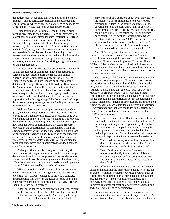#### *Buckless Rogers (continued)*

the budget must be justified on strong policy and technical grounds. This is particularly critical in the passback and appeal process, where critical decisions need to be made by OMB and the White House on competing priorities.

Once formulation is complete, the President's budget must be presented to the Congress. Each agency provides budget schedules and related technical material to OMB as well as supporting material on policy decisions. The President then gives his State of the Union message followed by the presentation of the Administration's unified budget. SSA, along with other agencies, prepares supporting materials for its piece of the total including a press release on the budget request, a detailed justification for the Appropriations Committees, appropriations hearings testimony, and material used for briefing congressional staff on the budget request.

In recent years, the budget has become more integrated as a larger number of committees have been required to agree on budget issues before the House and Senate Appropriations Committees can begin work. First, the Budget Committees in both Houses must work out the details of the Budget Resolution followed by allocations to the Appropriations Committees and distributions to the subcommittees. In addition, the authorizing legislation may be required before funds can be appropriated. If we are lucky we actually get all of this worked out and get an appropriation by the beginning of the fiscal year. Let's hope this or some other process gets us our funding on time as we move toward the 21st century.

Well, we formulated the budget, presented it to Congress, and have an appropriation. The focus now shifts to executing the budget for that fiscal year--getting done what we planned for and told Congress we could do if it provided the authority and the funding. The technical process right now includes OMB apportionment, allocating resources provided in the apportionment to components within the agency consistent with workload and operating plans based on executing the agency plans. Execution of the budget is an ongoing process; adjustments are made throughout the fiscal year to ensure available resources are maximized to meet both anticipated and unanticipated workload demands and agency priorities.

Although I think that the core process will stay the same for some time--particularly the need for sound budget development, well organized presentations, solid execution and accountability--it is becoming apparent that the current, 105th Congress intends to place emphasis on the implementation of GPRA, enacted by the 103rd Congress.

With its combination of strategic plans, performance plans, and consultation among agencies and congressional oversight staff, GPRA is designed to provide a concrete, understandable link between the funds invested in and the gains received from Federal programs. As OMB Director Franklin Raines noted recently:

"One reason for the deep disaffection with government in this country at all levels -- state, local, and national - is that we poorly explain to the American public why the government does what it does....Being able to

answer the public's questions about what they get for the money we spend should go a long way toward restoring their faith in the ability and interest of the government to do the right thing. This is an era of fiscal limits. Resources are scarce. Not every priority can be met, nor all needs satisfied. Every program must count. So we must ask: which programs are effective, and which are not? GPRA is intended to help all of us obtain better answers to those questions." (Testimony before the Senate Appropriations and Governmental Affairs Committees, June 24, 1997.)

As GPRA is implemented, we will need to relate resource requests to "outcomes" as well as "outputs." It will no longer be enough for an agency like SSA to say: If you give us X dollars we will process Y claims. Under GPRA, if SSA receives X dollars, it still will be expected to process Y claims but it will also be expected to commit to specific outcomes, such as a given customer satisfaction or payment accuracy rate.

The GPRA parallel for an IG may be that you will be expected to continue to process X number of successful prosecutions or collect X number of dollars; but, in addition, you may be expected to demonstrate how those "outputs" translate into an "outcome" such as a percent reduction in program fraud. The House and Senate Appropriations Subcommittees which oversee the agencies funded through the appropriations for the Departments of Labor, Health and Human Services, Education, and Related Agencies, have already exhibited an interest in monitoring IG performance and included the following language for each OIG in the conference report accompanying the FY 1997 appropriations:

"The conferees believe that all of the Inspectors General need to do a better job of accounting for and tracking the savings that they claim to generate by their efforts. More attention must be paid to how much money is actually collected each year and paid back to the Federal government. The conferees direct the Inspector General to report to the Committees each quarter on:

- 1. The actual payments, as a result of fines, restitutions, or forfeitures, made to the United States Government as a result of his activities; and
- 2. How "funds put to better use" were used; this report must identify funds made available for use by management and the programs, projects, and activities that were increased as a result of these funds."

The difficulty in implementing GPRA arises in developing and measuring the performance goals. It is easy for an agency to measure objective workload outputs such as claims processed or passports issued; accounting systems are, generally, designed to measure quantities. It is, however, more difficult to measure outcomes such as improved customer satisfaction or deterred program fraud and abuse, which tend to be subjective.

For example, imagine operating a national chain of restaurants like the Interstate Baker of Bagels (IBOB). As the executive in charge of evaluating customer satisfaction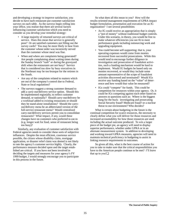and developing a strategy to improve satisfaction, you decide to have each restaurant put customer satisfaction surveys on each table. As the surveys begin rolling into your office, you realize that there are several factors influencing customer satisfaction which you need to consider as you develop your remedial strategy:

- A large majority of returned surveys are critical of service. Does this mean that service is generally poor? Or are satisfied customers not filling out the survey cards? You may be more likely to hear from the customer whose order was incorrectly served than the customer whose meal was fine.
- When and where are complaints being generated? Are people complaining about waiting times during the Sunday brunch "rush" or during the graveyard shift when the restaurants are not busy? Service that is considered too slow by busy executives in the Northeast may be too brusque for the retirees in the South.
- Are any of the complaints related to matters which are out of the company's control due to Federal, State or local regulations?
- The surveys suggest a strong customer demand to add a carry-out/delivery service option. Should this be implemented regionally, to reflect customer demand, or nationally? Should carry-out/delivery be a workload added to existing restaurants or should they be stand-alone installations? Should the carryout/delivery menu be an abbreviated version of the full-service restaurant menu? Would centralized carry-out/delivery services permit you to consolidate restaurants? What impact, if any, would these changes have on customers who preferred to eat-in (e.g. longer wait for food, sense of restaurant being too busy)?

Similarly, any evaluation of customer satisfaction with Federal agencies needs to consider these sorts of subjective influences. Despite the most efficient, courteous service possible, the citizen whose disability claim, mortgage application, or disaster relief claim was denied is not likely to rate the agency's customer service highly. Clearly, the performance measure decided upon and the target established are critical. If you have not been involved in deciding the targets and measures for your agency's FY 1999 budget, I would strongly encourage you to participate in this process in the future.

So what does all this mean to you? How will the results-oriented management requirements of GPRA impact budget formulation, presentation and execution for an IG organization? I see several possibilities:

- An IG could receive an appropriation that is simply a "pot of money" without traditional budget controls. Under this scenario, in theory, you would be free to make whatever efficiencies you see fit to meet performance goals including outsourcing work and upgrading equipment.
- You could become self-supporting; that is, your operating expenses would come from monies recovered from successful prosecutions. While this would tend to encourage further diligence in investigation and prosecution of fraudulent activities, such a funding mechanism would be hard to implement. Would IG budgets be based only on monies recovered, or would they include some amount representative of the scope of fraudulent activities discovered and terminated? Would IGs receive any funding based on the "value" of deterrence and how would that value be measured?
- IGs could "compete" for funds. This could be competition for resources within your agency. Or, it could be IGs competing against each other based on answers to questions such as: Where is the biggest bang for the buck: investigating and prosecuting Social Security fraud? Medicare fraud? or a nuclear threat to our environment? Who decides?

What is certain about budgeting in the future is the continual competition for scarce resources, the necessity to clearly define what you will deliver for those resources and increased accountability for how those resources are used including the actual outcome produced. To win a larger piece of the budget pie, an agency will need to display superior performance, whether under GPRA or in an alternate measurement system. In addition to developing and working toward GPRA measures, agencies will need to maintain technical proficiency in budgeting to assist in linking resource requirements to outcomes.

So given all this, what is the best course of action for you to take to make sure that the critical responsibilities you have to the American people continue to be met? I'll leave that up to you!❏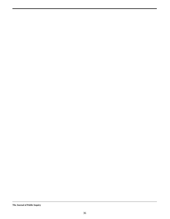**The Journal of Public Inquiry**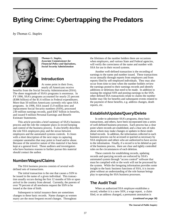## **Byting Crime: Cybertrapping the Predators**

*by Thomas G. Staples*



*Thomas G. Staples, Associate Commissioner for Financial Policy and Operations, Social Security Administration*

## **Introduction**

At some point in their lives, nearly all Americans receive benefits from the Social Security Administration (SSA). The sheer magnitude of SSA's programs is enormous. In FY 1996, SSA's programs accounted for nearly 25 percent (\$386 billion) of the \$1.6 trillion in Federal expenditures. More than 50 million Americans currently rely upon SSA programs. In 1996, SSA issued 15.9 million new and replacement Social Security numbers (SSN), processed

239 million earnings records, paid \$367 billion in benefits, and issued 9 million Personal Earnings and Benefit Estimate Statements.

This article provides a brief summary of SSA's business process and the role the computer plays in record keeping and control of the business process. It also briefly describes the role SSA employees play and the nexus between employees and the automated systems controls. It closes with a short description of the next steps in capturing computer anomalies that may point to fraud and/or abuse. Because of the sensitive nature of this material it has been kept at a general level. Those auditors and investigators who have business reasons to further pursue this material should contact the author.

## **Number/Wages/Claims**

The SSA business process consists of several welldefined sets of transactions.

The initial transaction is the one that causes a SSN to be issued in the name of a given individual. This transaction usually occurs during the first 12 months of life or upon arrival in the country from abroad. Currently, the parents of over 70 percent of all newborns request the SSN to be issued at the time of birth.

Subsequent to initial issuance there are sometimes changes to these basic records. Name changes as women marry are the most frequent record changes. Throughout

the lifetimes of the number holders there are occasions when employers, and various State and Federal agencies, will verify the correctness of the name and number with SSA for use in their record systems.

Another well-defined transaction is the recording of earnings to the name and number issued. These transactions occur annually through reports from employers and from reports filed by self-employed individuals. They may also occur from time to time when the number holders review the earnings posted to their earnings records and identify additions or deletions that need to be made. In addition to issuing the original SSN and posting earnings to the SSN, other defined SSA transactions relate to claims the number holder may file for benefits and subsequent events related to the payment of these benefits, e.g. address changes, death reports, etc.

## **Establish/Update/Query/Delete**

In order to administer SSA's programs, these basic transactions, and others, have been incorporated into a series of well-defined business processes. Each process has a clear point where records are established, and a clear sets of rules about whom may make changes or updates to these established records. In addition, the information collected in each business process can be accessed or queried as necessary by SSA employees and others who are authorized to have access to the information. Finally, if a record is to be deleted as part of the business process, there are clear and tightly controlled rules on the circumstances of each deletion.

These controls for establishing records, updating records and querying records are enforced by SSA's automated system through "access control" software that must be complied with or the work will not be processed by the system. While the foregoing information provides some insight to the basic business functions of SSA, it is incomplete without an understanding of the role human beings play in operating the SSA business processes.

## **The Audit Trail**

When an authorized SSA employee establishes a record, whether it is a new SSN, a wage report, a claim filed, or an address changed, a permanent annotation is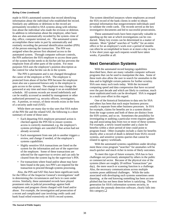#### *Byting Crime (continued)*

made in SSA's automated systems that record identifying information about the individual who established the record. Similarly any additions or deletions to the record are permanently recorded to SSA systems along with information about the individual who made the revision or deletion. In addition to information about the employee, other basic data are also automatically recorded by the system--time of day, office, computer terminal, etc. The automated system accomplishes these tasks in part by automatically and routinely recording the personal identification number (PIN) of the person entering the transaction. The PIN was assigned when the person first obtained access to the automated system. Through computer software controls, the PIN authorizes the SSA employee to access those parts of the system he/she needs to do his/her job but prevents the employee from all other parts of the system. For most purposes SSA uses the employee's position description as the control for what he/she can do in the system.

The PIN is permanent and is not changed throughout the career of the employee at SSA. The employee is protected from abuse of his/her PIN because the employee must also use a password known only to the employee to gain access to the system. The employee may change the password at any time and must change it on an established schedule. All systems records are stored indefinitely and can be readily accessed as needed by management or other authorized personnel e.g. security officers, investigators, etc. A portion, or extract, of these records exists in the form of a security audit trail (SAT).

While there are many day-to-day uses that SSA makes of the PIN file and the related SAT, the following is a short summary of some of those uses:

- Each departing SSA employee personnel action is checked against the PIN file to ensure systems access is correctly maintained, e.g. the employee's systems privileges are canceled if that action had not already occurred.
- Each reassignment from one job to another triggers a review, and change if needed, of the employee's systems capabilities.
- Highly sensitive SSA transactions are listed on the system for the information and use of the supervisor of the employee. Some of these transactions are selected for the supervisor to review and can only be cleared from the system log by the supervisor's PIN.
- For transactions where fraud and/or abuse may have been found in the past, two PIN's are required for the transaction to proceed through systems processing.

Also, the PIN and SAT files have been significant tools for the Office of the Inspector General's investigations' staff in determining the circumstances and facts in cases under review. Similarly, these automated records have played prominent roles in judicial proceedings against both employees and program clients charged with fraud and/or abuse. For example, the investigation and prosecution of a recent and complicated case involving credit cards and bank fraud relied extensively on SSA's record systems.

The system identified instances where employees accessed the SSA record of the bank clients in order to obtain personal information that nongovernment individuals used to validate the credit cards. The records served as the key investigative documents and led to successful prosecutions.

These automated tools have been especially valuable in speeding up the rate at which investigations can be conducted. Many key events can be determined in a matter of minutes. More "global" searches of "traffic" for an entire office or for an employee's work over a period of months can often be accomplished in hours or at most a day or two. A few short years ago such requests would have taken weeks, if possible at all.

## **Next Generation Systems**

With the automated record keeping capabilities described here, there are many valuable computer software programs that can be used to manipulate the data. Some of these tools also allow the user to search for anomalies in the data and to highlight certain patterns for further scrutiny. SSA uses many such tools today. With the increased computing speed and data compression that have occurred over the past decade and which are likely to continue, much more sophisticated tools can be developed. SSA is engaged in a multi-year effort in this regard.

One of the historical limitations to data sets for SSA and others has been that each major business process usually is separate from other business processes. In SSA for example, claims for benefits are in a system distinct from the wage system and both of these are distinct from the SSN system, and so on. Sometimes the possibility for investigating or auditing a particular event requires gathering and associating data from two or more of these systems. For example, a newly issued number and a claim for benefits within a short period of time could point to program fraud. Other examples include a claim for benefits shortly after a record of death is deleted from SSA's record systems, and sensitive systems queries that cannot be related to agency workloads.

With the automated systems capabilities under development these cross program "searches" for anomalies will be much quicker and much richer in terms of likely outcomes.

To meet this type of future scenario, SSA has to face challenges not previously attempted by others in the public or commercial sector. Because of the physical size of the systems (there are roughly 20 million "transactions" per day), the mere search or scanning function is a challenge. Also, the necessary communications across multiple systems poses additional challenges. While the tasks associated with developing such systems sometimes seem daunting, at the end knowing something has been accomplished that has not been done before is satisfying. The next generation for SSA's information systems security, in particular the anomaly detection software, clearly falls into this category.❏

**The Journal of Public Inquiry**